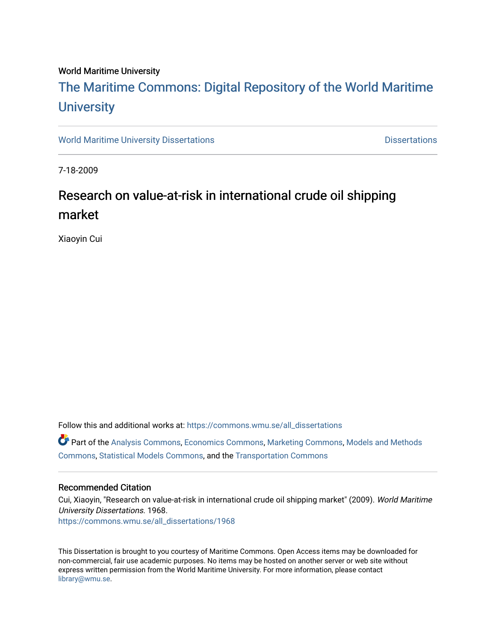## World Maritime University

# [The Maritime Commons: Digital Repository of the World Maritime](https://commons.wmu.se/)  **University**

[World Maritime University Dissertations](https://commons.wmu.se/all_dissertations) **Distributions** [Dissertations](https://commons.wmu.se/dissertations) Dissertations

7-18-2009

# Research on value-at-risk in international crude oil shipping market

Xiaoyin Cui

Follow this and additional works at: [https://commons.wmu.se/all\\_dissertations](https://commons.wmu.se/all_dissertations?utm_source=commons.wmu.se%2Fall_dissertations%2F1968&utm_medium=PDF&utm_campaign=PDFCoverPages) 

Part of the [Analysis Commons](http://network.bepress.com/hgg/discipline/177?utm_source=commons.wmu.se%2Fall_dissertations%2F1968&utm_medium=PDF&utm_campaign=PDFCoverPages), [Economics Commons,](http://network.bepress.com/hgg/discipline/340?utm_source=commons.wmu.se%2Fall_dissertations%2F1968&utm_medium=PDF&utm_campaign=PDFCoverPages) [Marketing Commons](http://network.bepress.com/hgg/discipline/638?utm_source=commons.wmu.se%2Fall_dissertations%2F1968&utm_medium=PDF&utm_campaign=PDFCoverPages), [Models and Methods](http://network.bepress.com/hgg/discipline/390?utm_source=commons.wmu.se%2Fall_dissertations%2F1968&utm_medium=PDF&utm_campaign=PDFCoverPages) [Commons](http://network.bepress.com/hgg/discipline/390?utm_source=commons.wmu.se%2Fall_dissertations%2F1968&utm_medium=PDF&utm_campaign=PDFCoverPages), [Statistical Models Commons,](http://network.bepress.com/hgg/discipline/827?utm_source=commons.wmu.se%2Fall_dissertations%2F1968&utm_medium=PDF&utm_campaign=PDFCoverPages) and the [Transportation Commons](http://network.bepress.com/hgg/discipline/1068?utm_source=commons.wmu.se%2Fall_dissertations%2F1968&utm_medium=PDF&utm_campaign=PDFCoverPages) 

## Recommended Citation

Cui, Xiaoyin, "Research on value-at-risk in international crude oil shipping market" (2009). World Maritime University Dissertations. 1968. [https://commons.wmu.se/all\\_dissertations/1968](https://commons.wmu.se/all_dissertations/1968?utm_source=commons.wmu.se%2Fall_dissertations%2F1968&utm_medium=PDF&utm_campaign=PDFCoverPages)

This Dissertation is brought to you courtesy of Maritime Commons. Open Access items may be downloaded for non-commercial, fair use academic purposes. No items may be hosted on another server or web site without express written permission from the World Maritime University. For more information, please contact [library@wmu.se](mailto:library@wmu.edu).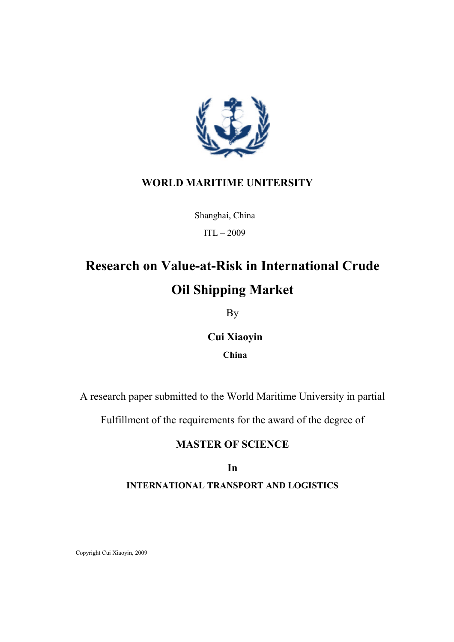

# WORLD MARITIME UNITERSITY

Shanghai, China

ITL – 2009

# Research on Value-at-Risk in International Crude Oil Shipping Market

By

Cui Xiaoyin China

A research paper submitted to the World Maritime University in partial

Fulfillment of the requirements for the award of the degree of

# MASTER OF SCIENCE

In INTERNATIONAL TRANSPORT AND LOGISTICS

Copyright Cui Xiaoyin, 2009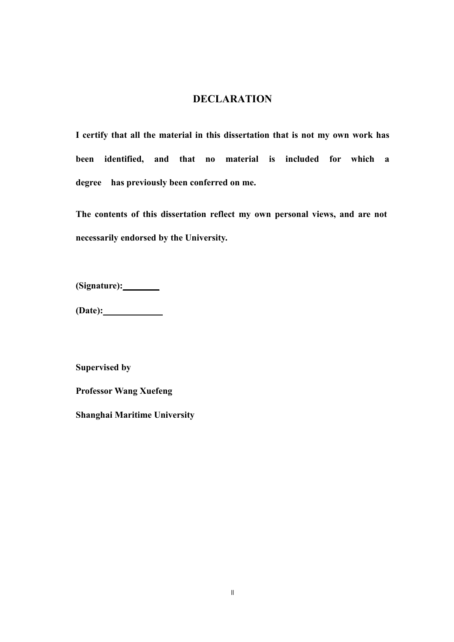# DECLARATION

I certify that all the material in this dissertation that is not my own work has been identified, and that no material is included for which a degree has previously been conferred on me.

The contents of this dissertation reflect my own personal views, and are not necessarily endorsed by the University.

 $(Signature):$ 

(Date):\_\_\_\_\_\_\_\_\_\_\_\_\_

Supervised by

Professor Wang Xuefeng

Shanghai Maritime University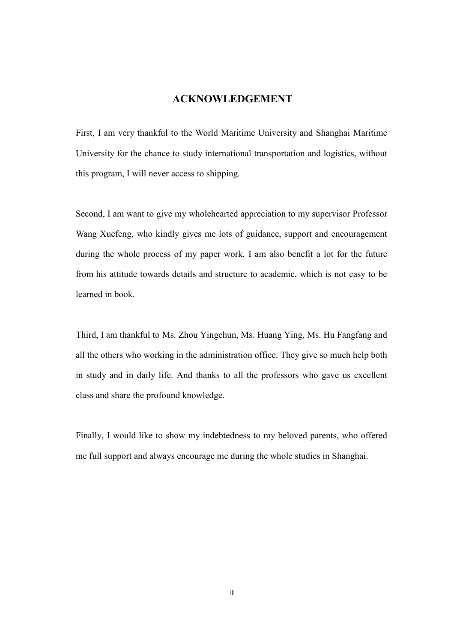## ACKNOWLEDGEMENT

First, I am very thankful to the World Maritime University and Shanghai Maritime University for the chance to study international transportation and logistics, without this program, I will never access to shipping.

Second, I am want to give my wholehearted appreciation to my supervisor Professor Wang Xuefeng, who kindly gives me lots of guidance, support and encouragement during the whole process of my paper work. I am also benefit a lot for the future from his attitude towards details and structure to academic, which is not easy to be learned in book.

Third, I am thankful to Ms. Zhou Yingchun, Ms. Huang Ying, Ms. Hu Fangfang and all the others who working in the administration office. They give so much help both in study and in daily life. And thanks to all the professors who gave us excellent class and share the profound knowledge.

Finally, I would like to show my indebtedness to my beloved parents, who offered me full support and always encourage me during the whole studies in Shanghai.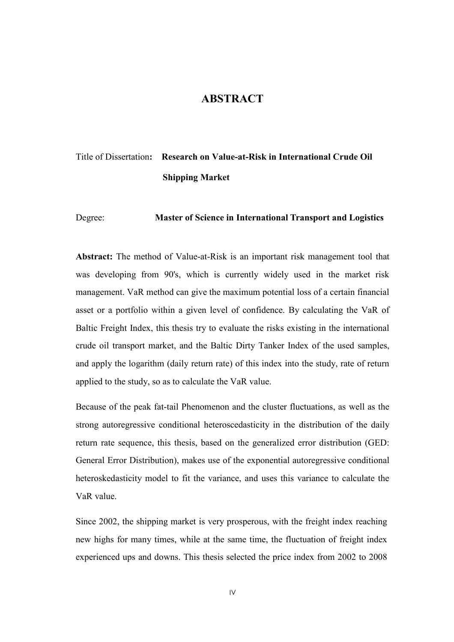# ABSTRACT

# Title of Dissertation: Research on Value-at-Risk in International Crude Oil Shipping Market

### Degree: Master of Science in International Transport and Logistics

Abstract: The method of Value-at-Risk is an important risk management tool that was developing from 90's, which is currently widely used in the market risk management. VaR method can give the maximum potential loss of a certain financial asset or a portfolio within a given level of confidence. By calculating the VaR of Baltic Freight Index, this thesis try to evaluate the risks existing in the international crude oil transport market, and the Baltic Dirty Tanker Index of the used samples, and apply the logarithm (daily return rate) of this index into the study, rate of return applied to the study, so as to calculate the VaR value.

Because of the peak fat-tail Phenomenon and the cluster fluctuations, as well as the strong autoregressive conditional heteroscedasticity in the distribution of the daily return rate sequence, this thesis, based on the generalized error distribution (GED: General Error Distribution), makes use of the exponential autoregressive conditional heteroskedasticity model to fit the variance, and uses this variance to calculate the VaR value.

Since 2002, the shipping market is very prosperous, with the freight index reaching new highs for many times, while at the same time, the fluctuation of freight index experienced ups and downs. This thesis selected the price index from 2002 to 2008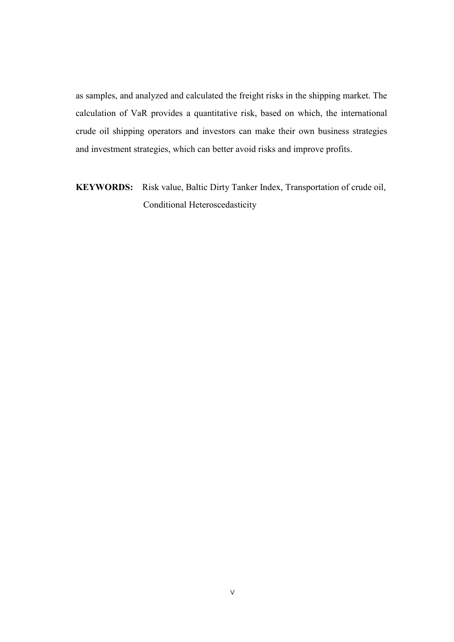as samples, and analyzed and calculated the freight risks in the shipping market. The calculation of VaR provides a quantitative risk, based on which, the international crude oil shipping operators and investors can make their own business strategies and investment strategies, which can better avoid risks and improve profits.

KEYWORDS: Risk value, Baltic Dirty Tanker Index, Transportation of crude oil, Conditional Heteroscedasticity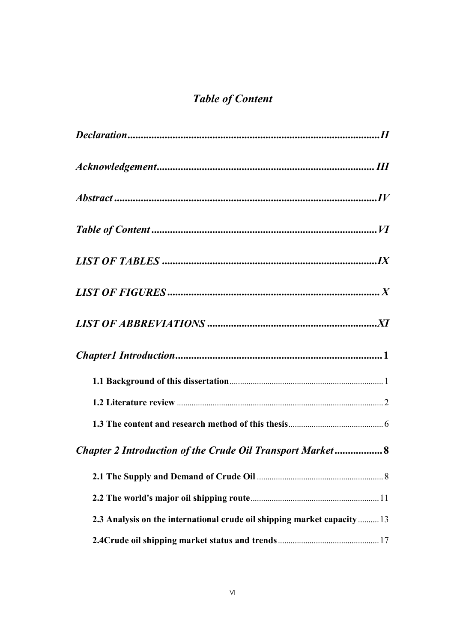# **Table of Content**

| <b>Chapter 2 Introduction of the Crude Oil Transport Market 8</b>        |  |
|--------------------------------------------------------------------------|--|
|                                                                          |  |
|                                                                          |  |
| 2.3 Analysis on the international crude oil shipping market capacity  13 |  |
|                                                                          |  |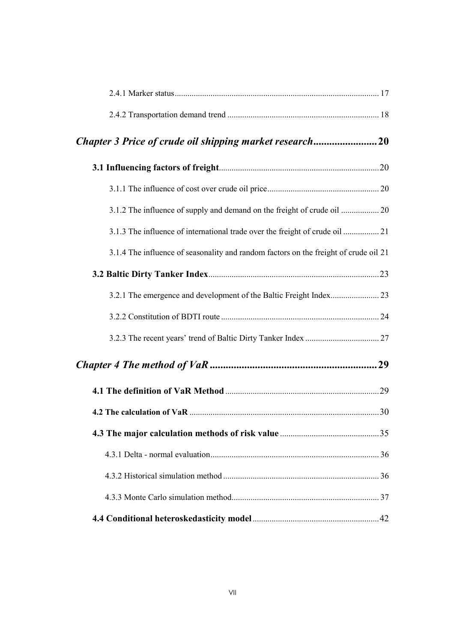| Chapter 3 Price of crude oil shipping market research20                              |  |
|--------------------------------------------------------------------------------------|--|
|                                                                                      |  |
|                                                                                      |  |
|                                                                                      |  |
| 3.1.3 The influence of international trade over the freight of crude oil  21         |  |
| 3.1.4 The influence of seasonality and random factors on the freight of crude oil 21 |  |
|                                                                                      |  |
|                                                                                      |  |
|                                                                                      |  |
|                                                                                      |  |
|                                                                                      |  |
|                                                                                      |  |
|                                                                                      |  |
|                                                                                      |  |
|                                                                                      |  |
|                                                                                      |  |
|                                                                                      |  |
|                                                                                      |  |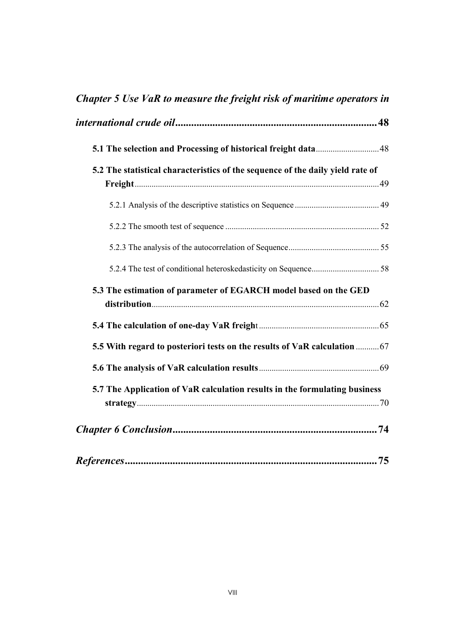| 5.2 The statistical characteristics of the sequence of the daily yield rate of |  |
|--------------------------------------------------------------------------------|--|
|                                                                                |  |
|                                                                                |  |
|                                                                                |  |
|                                                                                |  |
|                                                                                |  |
| 5.3 The estimation of parameter of EGARCH model based on the GED               |  |
|                                                                                |  |
|                                                                                |  |
| 5.5 With regard to posteriori tests on the results of VaR calculation  67      |  |
|                                                                                |  |
| 5.7 The Application of VaR calculation results in the formulating business     |  |
|                                                                                |  |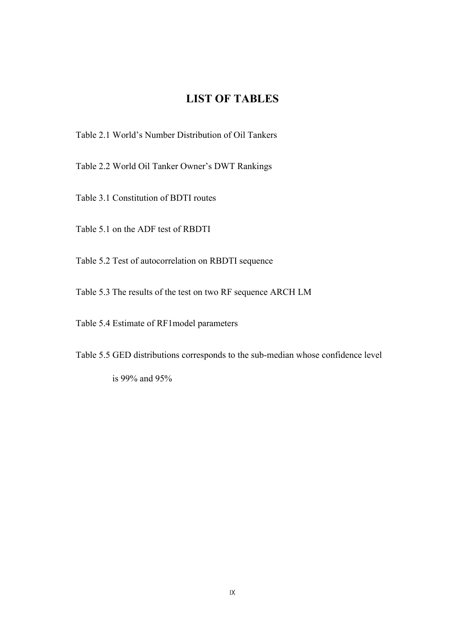# LIST OF TABLES

Table 2.1 World's Number Distribution of Oil Tankers

Table 2.2 World Oil Tanker Owner's DWT Rankings

Table 3.1 Constitution of BDTI routes

Table 5.1 on the ADF test of RBDTI

Table 5.2 Test of autocorrelation on RBDTI sequence

Table 5.3 The results of the test on two RF sequence ARCH LM

Table 5.4 Estimate of RF1model parameters

Table 5.5 GED distributions corresponds to the sub-median whose confidence level is 99% and 95%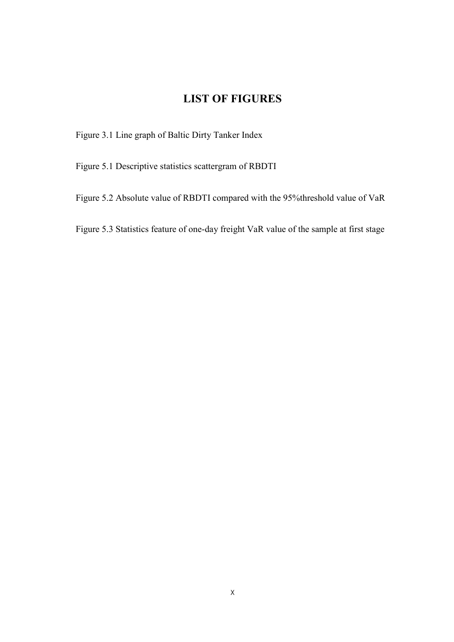# LIST OF FIGURES

Figure 3.1 Line graph of Baltic Dirty Tanker Index

Figure 5.1 Descriptive statistics scattergram of RBDTI

Figure 5.2 Absolute value of RBDTI compared with the 95%threshold value of VaR

Figure 5.3 Statistics feature of one-day freight VaR value of the sample at first stage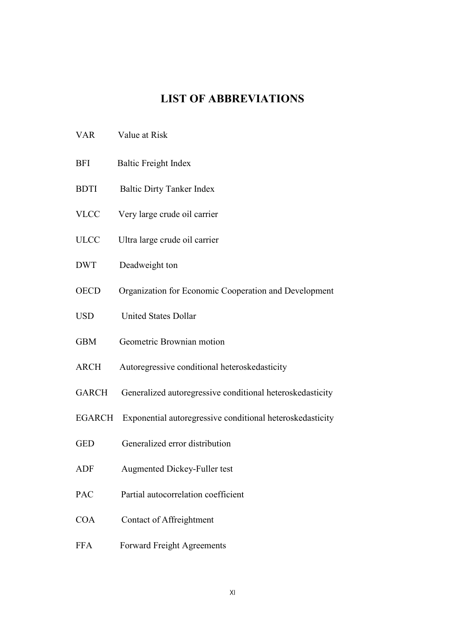# LIST OF ABBREVIATIONS

- VAR Value at Risk
- BFI Baltic Freight Index
- BDTI Baltic Dirty Tanker Index
- VLCC Very large crude oil carrier
- ULCC Ultra large crude oil carrier
- DWT Deadweight ton
- OECD Organization for Economic Cooperation and Development
- USD United States Dollar
- GBM Geometric Brownian motion
- ARCH Autoregressive conditional heteroskedasticity
- GARCH Generalized autoregressive conditional heteroskedasticity
- EGARCH Exponential autoregressive conditional heteroskedasticity
- GED Generalized error distribution
- ADF Augmented Dickey-Fuller test
- PAC Partial autocorrelation coefficient
- COA Contact of Affreightment
- FFA Forward Freight Agreements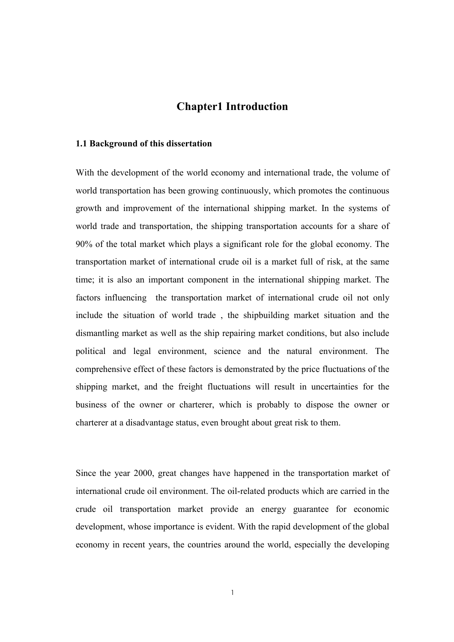# Chapter1 Introduction

### 1.1 Background of this dissertation

With the development of the world economy and international trade, the volume of world transportation has been growing continuously, which promotes the continuous growth and improvement of the international shipping market. In the systems of world trade and transportation, the shipping transportation accounts for a share of 90% of the total market which plays a significant role for the global economy. The transportation market of international crude oil is a market full of risk, at the same time; it is also an important component in the international shipping market. The factors influencing the transportation market of international crude oil not only include the situation of world trade , the shipbuilding market situation and the dismantling market as well as the ship repairing market conditions, but also include political and legal environment, science and the natural environment. The comprehensive effect of these factors is demonstrated by the price fluctuations of the shipping market, and the freight fluctuations will result in uncertainties for the business of the owner or charterer, which is probably to dispose the owner or charterer at a disadvantage status, even brought about great risk to them.

Since the year 2000, great changes have happened in the transportation market of international crude oil environment. The oil-related products which are carried in the crude oil transportation market provide an energy guarantee for economic development, whose importance is evident. With the rapid development of the global economy in recent years, the countries around the world, especially the developing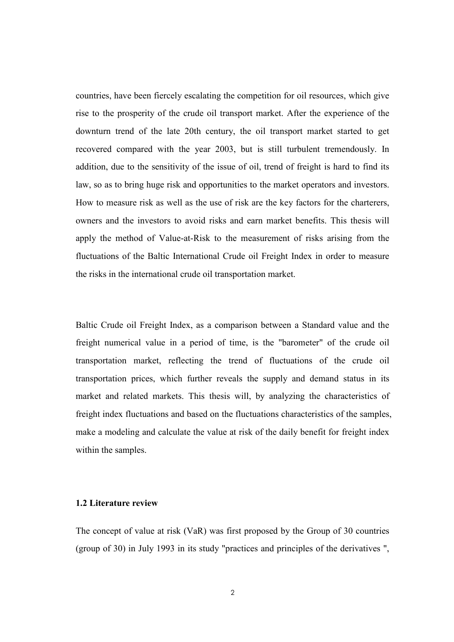countries, have been fiercely escalating the competition for oil resources, which give rise to the prosperity of the crude oil transport market. After the experience of the downturn trend of the late 20th century, the oil transport market started to get recovered compared with the year 2003, but is still turbulent tremendously. In addition, due to the sensitivity of the issue of oil, trend of freight is hard to find its law, so as to bring huge risk and opportunities to the market operators and investors. How to measure risk as well as the use of risk are the key factors for the charterers, owners and the investors to avoid risks and earn market benefits. This thesis will apply the method of Value-at-Risk to the measurement of risks arising from the fluctuations of the Baltic International Crude oil Freight Index in order to measure the risks in the international crude oil transportation market.

Baltic Crude oil Freight Index, as a comparison between a Standard value and the freight numerical value in a period of time, is the "barometer" of the crude oil transportation market, reflecting the trend of fluctuations of the crude oil transportation prices, which further reveals the supply and demand status in its market and related markets. This thesis will, by analyzing the characteristics of freight index fluctuations and based on the fluctuations characteristics of the samples, make a modeling and calculate the value at risk of the daily benefit for freight index within the samples.

## 1.2 Literature review

The concept of value at risk (VaR) was first proposed by the Group of 30 countries (group of 30) in July 1993 in its study "practices and principles of the derivatives ",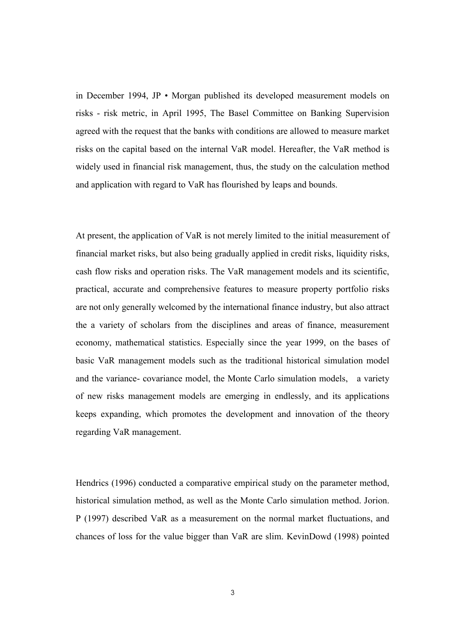in December 1994, JP • Morgan published its developed measurement models on risks - risk metric, in April 1995, The Basel Committee on Banking Supervision agreed with the request that the banks with conditions are allowed to measure market risks on the capital based on the internal VaR model. Hereafter, the VaR method is widely used in financial risk management, thus, the study on the calculation method and application with regard to VaR has flourished by leaps and bounds.

At present, the application of VaR is not merely limited to the initial measurement of financial market risks, but also being gradually applied in credit risks, liquidity risks, cash flow risks and operation risks. The VaR management models and its scientific, practical, accurate and comprehensive features to measure property portfolio risks are not only generally welcomed by the international finance industry, but also attract the a variety of scholars from the disciplines and areas of finance, measurement economy, mathematical statistics. Especially since the year 1999, on the bases of basic VaR management models such as the traditional historical simulation model and the variance- covariance model, the Monte Carlo simulation models, a variety of new risks management models are emerging in endlessly, and its applications keeps expanding, which promotes the development and innovation of the theory regarding VaR management.

Hendrics (1996) conducted a comparative empirical study on the parameter method, historical simulation method, as well as the Monte Carlo simulation method. Jorion. P (1997) described VaR as a measurement on the normal market fluctuations, and chances of loss for the value bigger than VaR are slim. KevinDowd (1998) pointed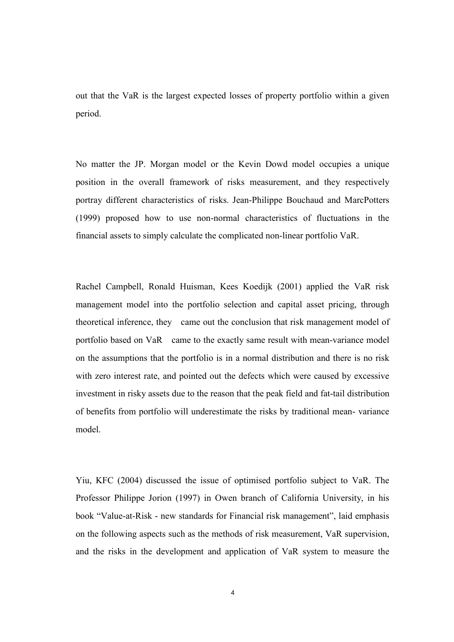out that the VaR is the largest expected losses of property portfolio within a given period.

No matter the JP. Morgan model or the Kevin Dowd model occupies a unique position in the overall framework of risks measurement, and they respectively portray different characteristics of risks. Jean-Philippe Bouchaud and MarcPotters (1999) proposed how to use non-normal characteristics of fluctuations in the financial assets to simply calculate the complicated non-linear portfolio VaR.

Rachel Campbell, Ronald Huisman, Kees Koedijk (2001) applied the VaR risk management model into the portfolio selection and capital asset pricing, through theoretical inference, they came out the conclusion that risk management model of portfolio based on VaR came to the exactly same result with mean-variance model on the assumptions that the portfolio is in a normal distribution and there is no risk with zero interest rate, and pointed out the defects which were caused by excessive investment in risky assets due to the reason that the peak field and fat-tail distribution of benefits from portfolio will underestimate the risks by traditional mean- variance model.

Yiu, KFC (2004) discussed the issue of optimised portfolio subject to VaR. The Professor Philippe Jorion (1997) in Owen branch of California University, in his book "Value-at-Risk - new standards for Financial risk management", laid emphasis on the following aspects such as the methods of risk measurement, VaR supervision, and the risks in the development and application of VaR system to measure the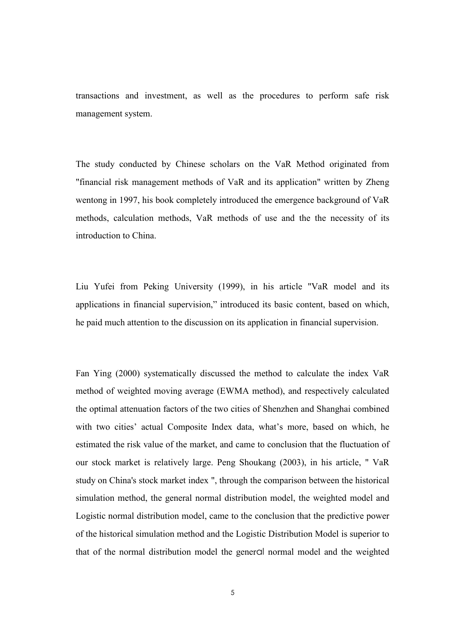transactions and investment, as well as the procedures to perform safe risk management system.

The study conducted by Chinese scholars on the VaR Method originated from "financial risk management methods of VaR and its application" written by Zheng wentong in 1997, his book completely introduced the emergence background of VaR methods, calculation methods, VaR methods of use and the the necessity of its introduction to China.

Liu Yufei from Peking University (1999), in his article "VaR model and its applications in financial supervision," introduced its basic content, based on which, he paid much attention to the discussion on its application in financial supervision.

Fan Ying (2000) systematically discussed the method to calculate the index VaR method of weighted moving average (EWMA method), and respectively calculated the optimal attenuation factors of the two cities of Shenzhen and Shanghai combined with two cities' actual Composite Index data, what's more, based on which, he estimated the risk value of the market, and came to conclusion that the fluctuation of our stock market is relatively large. Peng Shoukang (2003), in his article, " VaR study on China's stock market index ", through the comparison between the historical simulation method, the general normal distribution model, the weighted model and Logistic normal distribution model, came to the conclusion that the predictive power of the historical simulation method and the Logistic Distribution Model is superior to that of the normal distribution model the general normal model and the weighted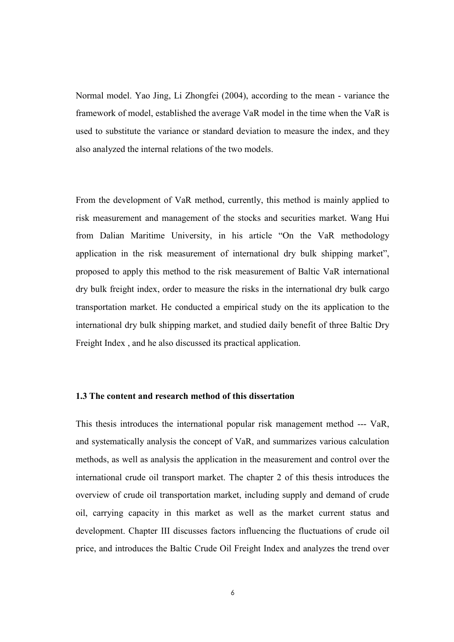Normal model. Yao Jing, Li Zhongfei (2004), according to the mean - variance the framework of model, established the average VaR model in the time when the VaR is used to substitute the variance or standard deviation to measure the index, and they also analyzed the internal relations of the two models.

From the development of VaR method, currently, this method is mainly applied to risk measurement and management of the stocks and securities market. Wang Hui from Dalian Maritime University, in his article "On the VaR methodology application in the risk measurement of international dry bulk shipping market", proposed to apply this method to the risk measurement of Baltic VaR international dry bulk freight index, order to measure the risks in the international dry bulk cargo transportation market. He conducted a empirical study on the its application to the international dry bulk shipping market, and studied daily benefit of three Baltic Dry Freight Index , and he also discussed its practical application.

## 1.3 The content and research method of this dissertation

This thesis introduces the international popular risk management method --- VaR, and systematically analysis the concept of VaR, and summarizes various calculation methods, as well as analysis the application in the measurement and control over the international crude oil transport market. The chapter 2 of this thesis introduces the overview of crude oil transportation market, including supply and demand of crude oil, carrying capacity in this market as well as the market current status and development. Chapter III discusses factors influencing the fluctuations of crude oil price, and introduces the Baltic Crude Oil Freight Index and analyzes the trend over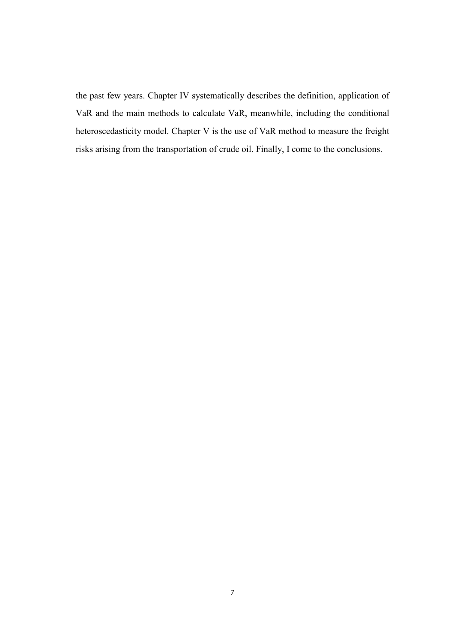the past few years. Chapter IV systematically describes the definition, application of VaR and the main methods to calculate VaR, meanwhile, including the conditional heteroscedasticity model. Chapter V is the use of VaR method to measure the freight risks arising from the transportation of crude oil. Finally, I come to the conclusions.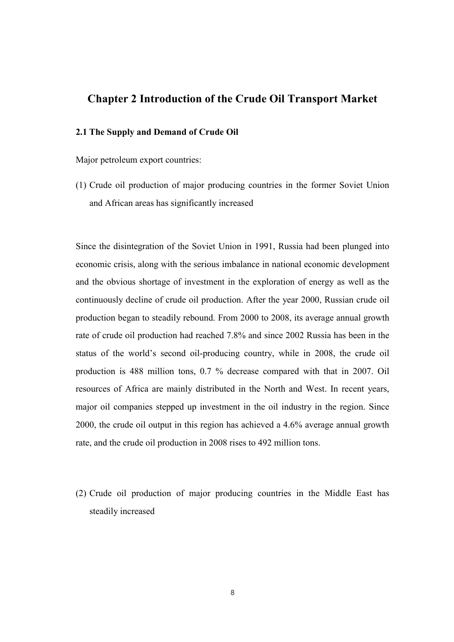# Chapter 2 Introduction of the Crude Oil Transport Market

### 2.1 The Supply and Demand of Crude Oil

Major petroleum export countries:

(1) Crude oil production of major producing countries in the former Soviet Union and African areas has significantly increased

Since the disintegration of the Soviet Union in 1991, Russia had been plunged into economic crisis, along with the serious imbalance in national economic development and the obvious shortage of investment in the exploration of energy as well as the continuously decline of crude oil production. After the year 2000, Russian crude oil production began to steadily rebound. From 2000 to 2008, its average annual growth rate of crude oil production had reached 7.8% and since 2002 Russia has been in the status of the world's second oil-producing country, while in 2008, the crude oil production is 488 million tons, 0.7 % decrease compared with that in 2007. Oil resources of Africa are mainly distributed in the North and West. In recent years, major oil companies stepped up investment in the oil industry in the region. Since 2000, the crude oil output in this region has achieved a 4.6% average annual growth rate, and the crude oil production in 2008 rises to 492 million tons.

(2) Crude oil production of major producing countries in the Middle East has steadily increased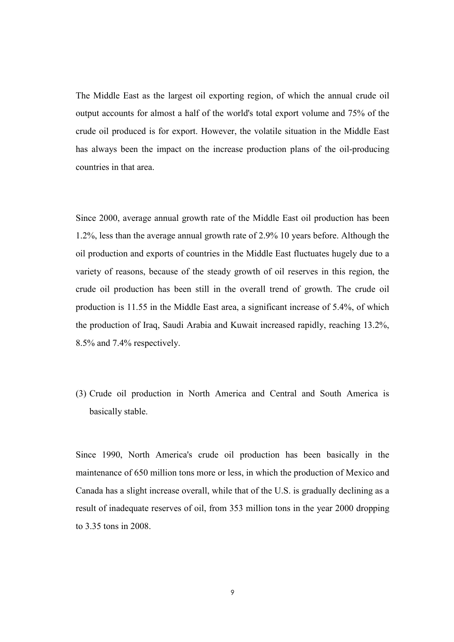The Middle East as the largest oil exporting region, of which the annual crude oil output accounts for almost a half of the world's total export volume and 75% of the crude oil produced is for export. However, the volatile situation in the Middle East has always been the impact on the increase production plans of the oil-producing countries in that area.

Since 2000, average annual growth rate of the Middle East oil production has been 1.2%, less than the average annual growth rate of 2.9% 10 years before. Although the oil production and exports of countries in the Middle East fluctuates hugely due to a variety of reasons, because of the steady growth of oil reserves in this region, the crude oil production has been still in the overall trend of growth. The crude oil production is 11.55 in the Middle East area, a significant increase of 5.4%, of which the production of Iraq, Saudi Arabia and Kuwait increased rapidly, reaching 13.2%, 8.5% and 7.4% respectively.

(3) Crude oil production in North America and Central and South America is basically stable.

Since 1990, North America's crude oil production has been basically in the maintenance of 650 million tons more or less, in which the production of Mexico and Canada has a slight increase overall, while that of the U.S. is gradually declining as a result of inadequate reserves of oil, from 353 million tons in the year 2000 dropping to 3.35 tons in 2008.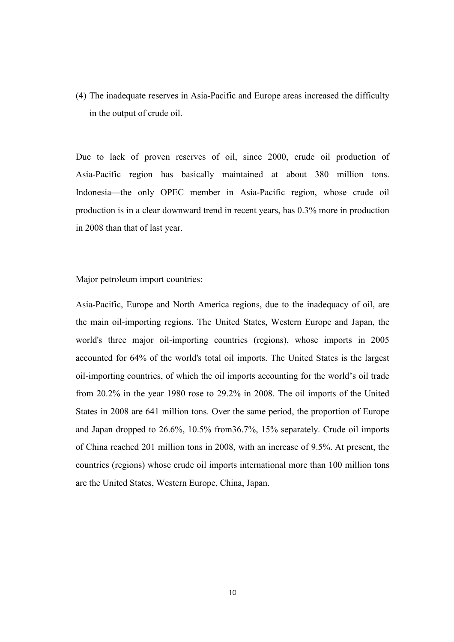(4) The inadequate reserves in Asia-Pacific and Europe areas increased the difficulty in the output of crude oil.

Due to lack of proven reserves of oil, since 2000, crude oil production of Asia-Pacific region has basically maintained at about 380 million tons. Indonesia—the only OPEC member in Asia-Pacific region, whose crude oil production is in a clear downward trend in recent years, has 0.3% more in production in 2008 than that of last year.

Major petroleum import countries:

Asia-Pacific, Europe and North America regions, due to the inadequacy of oil, are the main oil-importing regions. The United States, Western Europe and Japan, the world's three major oil-importing countries (regions), whose imports in 2005 accounted for 64% of the world's total oil imports. The United States is the largest oil-importing countries, of which the oil imports accounting for the world's oil trade from 20.2% in the year 1980 rose to 29.2% in 2008. The oil imports of the United States in 2008 are 641 million tons. Over the same period, the proportion of Europe and Japan dropped to 26.6%, 10.5% from36.7%, 15% separately. Crude oil imports of China reached 201 million tons in 2008, with an increase of 9.5%. At present, the countries (regions) whose crude oil imports international more than 100 million tons are the United States, Western Europe, China, Japan.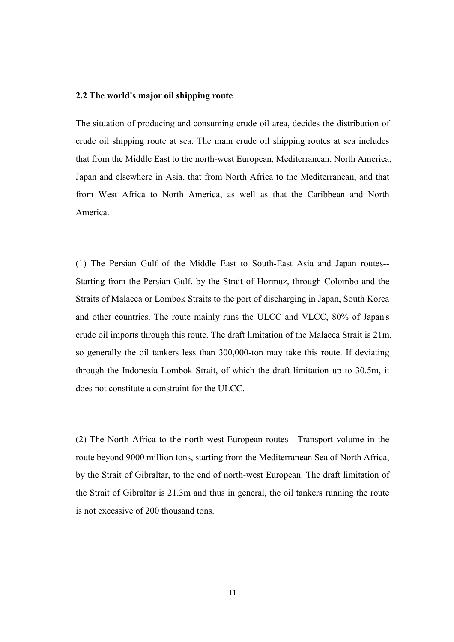#### 2.2 The world's major oil shipping route

The situation of producing and consuming crude oil area, decides the distribution of crude oil shipping route at sea. The main crude oil shipping routes at sea includes that from the Middle East to the north-west European, Mediterranean, North America, Japan and elsewhere in Asia, that from North Africa to the Mediterranean, and that from West Africa to North America, as well as that the Caribbean and North America.

(1) The Persian Gulf of the Middle East to South-East Asia and Japan routes-- Starting from the Persian Gulf, by the Strait of Hormuz, through Colombo and the Straits of Malacca or Lombok Straits to the port of discharging in Japan, South Korea and other countries. The route mainly runs the ULCC and VLCC, 80% of Japan's crude oil imports through this route. The draft limitation of the Malacca Strait is 21m, so generally the oil tankers less than 300,000-ton may take this route. If deviating through the Indonesia Lombok Strait, of which the draft limitation up to 30.5m, it does not constitute a constraint for the ULCC.

(2) The North Africa to the north-west European routes—Transport volume in the route beyond 9000 million tons, starting from the Mediterranean Sea of North Africa, by the Strait of Gibraltar, to the end of north-west European. The draft limitation of the Strait of Gibraltar is 21.3m and thus in general, the oil tankers running the route is not excessive of 200 thousand tons.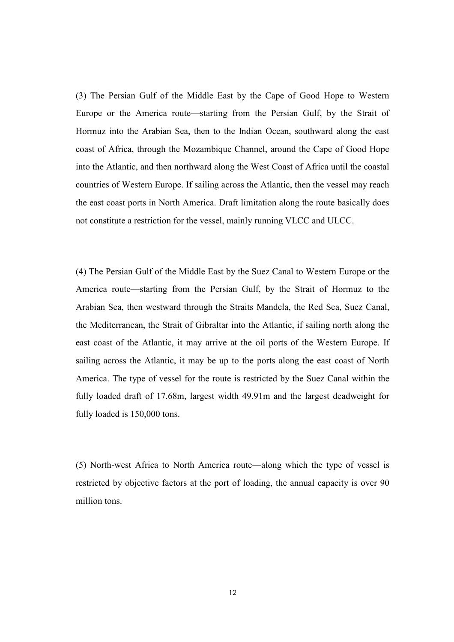(3) The Persian Gulf of the Middle East by the Cape of Good Hope to Western Europe or the America route—starting from the Persian Gulf, by the Strait of Hormuz into the Arabian Sea, then to the Indian Ocean, southward along the east coast of Africa, through the Mozambique Channel, around the Cape of Good Hope into the Atlantic, and then northward along the West Coast of Africa until the coastal countries of Western Europe. If sailing across the Atlantic, then the vessel may reach the east coast ports in North America. Draft limitation along the route basically does not constitute a restriction for the vessel, mainly running VLCC and ULCC.

(4) The Persian Gulf of the Middle East by the Suez Canal to Western Europe or the America route—starting from the Persian Gulf, by the Strait of Hormuz to the Arabian Sea, then westward through the Straits Mandela, the Red Sea, Suez Canal, the Mediterranean, the Strait of Gibraltar into the Atlantic, if sailing north along the east coast of the Atlantic, it may arrive at the oil ports of the Western Europe. If sailing across the Atlantic, it may be up to the ports along the east coast of North America. The type of vessel for the route is restricted by the Suez Canal within the fully loaded draft of 17.68m, largest width 49.91m and the largest deadweight for fully loaded is 150,000 tons.

(5) North-west Africa to North America route—along which the type of vessel is restricted by objective factors at the port of loading, the annual capacity is over 90 million tons.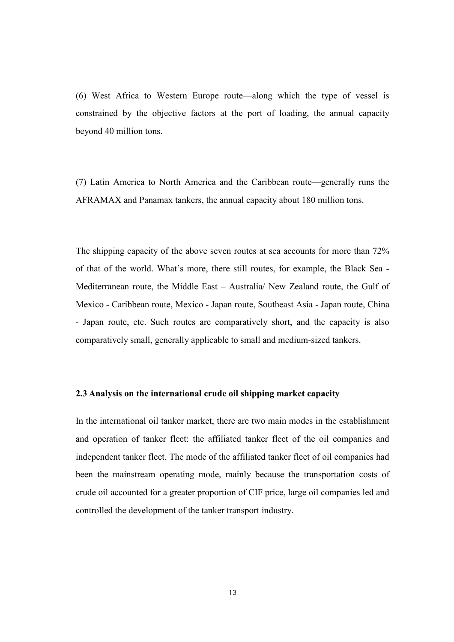(6) West Africa to Western Europe route—along which the type of vessel is constrained by the objective factors at the port of loading, the annual capacity beyond 40 million tons.

(7) Latin America to North America and the Caribbean route—generally runs the AFRAMAX and Panamax tankers, the annual capacity about 180 million tons.

The shipping capacity of the above seven routes at sea accounts for more than 72% of that of the world. What's more, there still routes, for example, the Black Sea - Mediterranean route, the Middle East – Australia/ New Zealand route, the Gulf of Mexico - Caribbean route, Mexico - Japan route, Southeast Asia - Japan route, China - Japan route, etc. Such routes are comparatively short, and the capacity is also comparatively small, generally applicable to small and medium-sized tankers.

### 2.3 Analysis on the international crude oil shipping market capacity

In the international oil tanker market, there are two main modes in the establishment and operation of tanker fleet: the affiliated tanker fleet of the oil companies and independent tanker fleet. The mode of the affiliated tanker fleet of oil companies had been the mainstream operating mode, mainly because the transportation costs of crude oil accounted for a greater proportion of CIF price, large oil companies led and controlled the development of the tanker transport industry.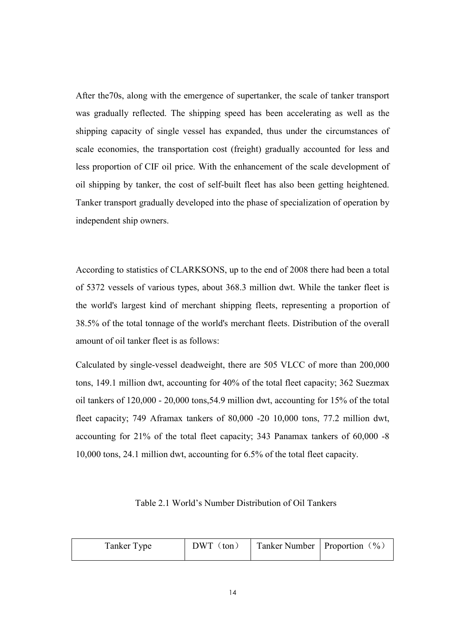After the70s, along with the emergence of supertanker, the scale of tanker transport was gradually reflected. The shipping speed has been accelerating as well as the shipping capacity of single vessel has expanded, thus under the circumstances of scale economies, the transportation cost (freight) gradually accounted for less and less proportion of CIF oil price. With the enhancement of the scale development of oil shipping by tanker, the cost of self-built fleet has also been getting heightened. Tanker transport gradually developed into the phase of specialization of operation by independent ship owners.

According to statistics of CLARKSONS, up to the end of 2008 there had been a total of 5372 vessels of various types, about 368.3 million dwt. While the tanker fleet is the world's largest kind of merchant shipping fleets, representing a proportion of 38.5% of the total tonnage of the world's merchant fleets. Distribution of the overall amount of oil tanker fleet is as follows:

Calculated by single-vessel deadweight, there are 505 VLCC of more than 200,000 tons, 149.1 million dwt, accounting for 40% of the total fleet capacity; 362 Suezmax oil tankers of 120,000 - 20,000 tons,54.9 million dwt, accounting for 15% of the total fleet capacity; 749 Aframax tankers of 80,000 -20 10,000 tons, 77.2 million dwt, accounting for 21% of the total fleet capacity; 343 Panamax tankers of 60,000 -8 10,000 tons, 24.1 million dwt, accounting for 6.5% of the total fleet capacity.

Table 2.1 World's Number Distribution of Oil Tankers

| Tanker Type | DWT (ton) | Tanker Number   Proportion $(\% )$ |  |
|-------------|-----------|------------------------------------|--|
|-------------|-----------|------------------------------------|--|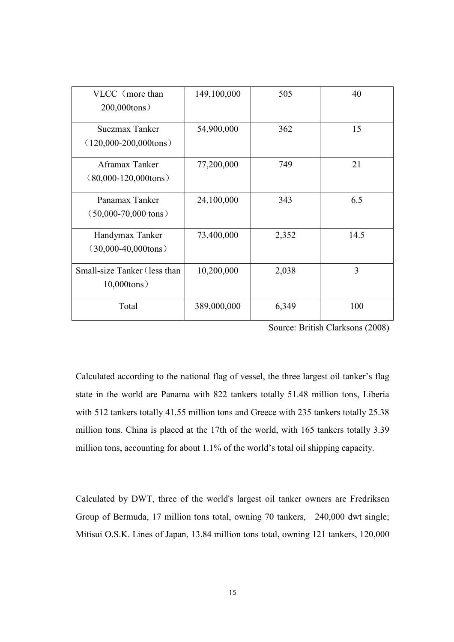| VLCC (more than<br>$200,000$ tons)                | 149,100,000 | 505   | 40   |
|---------------------------------------------------|-------------|-------|------|
| <b>Suezmax Tanker</b><br>$(120,000-200,000$ tons) | 54,900,000  | 362   | 15   |
| Aframax Tanker<br>$(80,000-120,000$ tons)         | 77,200,000  | 749   | 21   |
| Panamax Tanker<br>$(50,000-70,000 \text{ tons})$  | 24,100,000  | 343   | 6.5  |
| Handymax Tanker<br>$(30,000-40,000$ tons)         | 73,400,000  | 2,352 | 14.5 |
| Small-size Tanker (less than<br>$10,000$ tons)    | 10,200,000  | 2,038 | 3    |
| Total                                             | 389,000,000 | 6,349 | 100  |

Source: British Clarksons (2008)

Calculated according to the national flag of vessel, the three largest oil tanker's flag state in the world are Panama with 822 tankers totally 51.48 million tons, Liberia with 512 tankers totally 41.55 million tons and Greece with 235 tankers totally 25.38 million tons. China is placed at the 17th of the world, with 165 tankers totally 3.39 million tons, accounting for about 1.1% of the world's total oil shipping capacity.

Calculated by DWT, three of the world's largest oil tanker owners are Fredriksen Group of Bermuda, 17 million tons total, owning 70 tankers, 240,000 dwt single; Mitisui O.S.K. Lines of Japan, 13.84 million tons total, owning 121 tankers, 120,000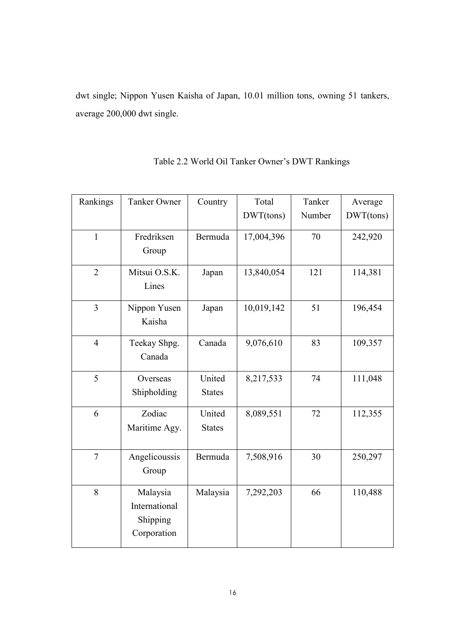dwt single; Nippon Yusen Kaisha of Japan, 10.01 million tons, owning 51 tankers, average 200,000 dwt single.

| Rankings       | <b>Tanker Owner</b> | Country       | Total      | Tanker | Average   |
|----------------|---------------------|---------------|------------|--------|-----------|
|                |                     |               | DWT(tons)  | Number | DWT(tons) |
| $\overline{1}$ | Fredriksen          | Bermuda       | 17,004,396 | 70     | 242,920   |
|                | Group               |               |            |        |           |
| $\overline{2}$ | Mitsui O.S.K.       | Japan         | 13,840,054 | 121    | 114,381   |
|                | Lines               |               |            |        |           |
| $\overline{3}$ | Nippon Yusen        | Japan         | 10,019,142 | 51     | 196,454   |
|                | Kaisha              |               |            |        |           |
| $\overline{4}$ | Teekay Shpg.        | Canada        | 9,076,610  | 83     | 109,357   |
|                | Canada              |               |            |        |           |
| 5              | Overseas            | United        | 8,217,533  | 74     | 111,048   |
|                | Shipholding         | <b>States</b> |            |        |           |
| 6              | Zodiac              | United        | 8,089,551  | 72     | 112,355   |
|                | Maritime Agy.       | <b>States</b> |            |        |           |
| $\overline{7}$ | Angelicoussis       | Bermuda       | 7,508,916  | 30     | 250,297   |
|                | Group               |               |            |        |           |
| 8              | Malaysia            | Malaysia      | 7,292,203  | 66     | 110,488   |
|                | International       |               |            |        |           |
|                | Shipping            |               |            |        |           |
|                | Corporation         |               |            |        |           |

# Table 2.2 World Oil Tanker Owner's DWT Rankings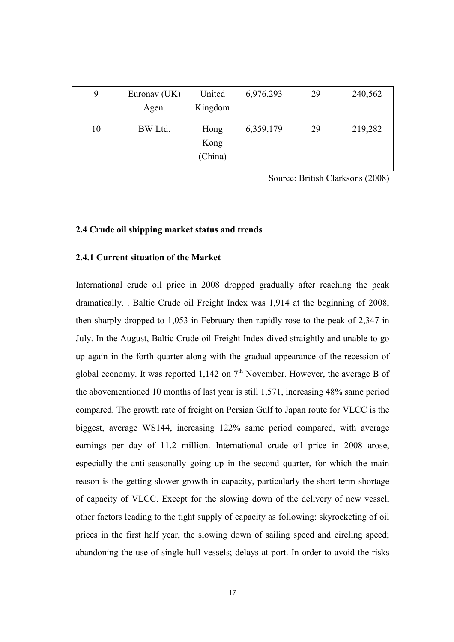| 9  | Euronav (UK)<br>Agen. | United<br>Kingdom       | 6,976,293 | 29 | 240,562 |
|----|-----------------------|-------------------------|-----------|----|---------|
| 10 | BW Ltd.               | Hong<br>Kong<br>(China) | 6,359,179 | 29 | 219,282 |

Source: British Clarksons (2008)

## 2.4 Crude oil shipping market status and trends

## 2.4.1 Current situation of the Market

International crude oil price in 2008 dropped gradually after reaching the peak dramatically. . Baltic Crude oil Freight Index was 1,914 at the beginning of 2008, then sharply dropped to 1,053 in February then rapidly rose to the peak of 2,347 in July. In the August, Baltic Crude oil Freight Index dived straightly and unable to go up again in the forth quarter along with the gradual appearance of the recession of global economy. It was reported 1,142 on  $7<sup>th</sup>$  November. However, the average B of the abovementioned 10 months of last year is still 1,571, increasing 48% same period compared. The growth rate of freight on Persian Gulf to Japan route for VLCC is the biggest, average WS144, increasing 122% same period compared, with average earnings per day of 11.2 million. International crude oil price in 2008 arose, especially the anti-seasonally going up in the second quarter, for which the main reason is the getting slower growth in capacity, particularly the short-term shortage of capacity of VLCC. Except for the slowing down of the delivery of new vessel, other factors leading to the tight supply of capacity as following: skyrocketing of oil prices in the first half year, the slowing down of sailing speed and circling speed; abandoning the use of single-hull vessels; delays at port. In order to avoid the risks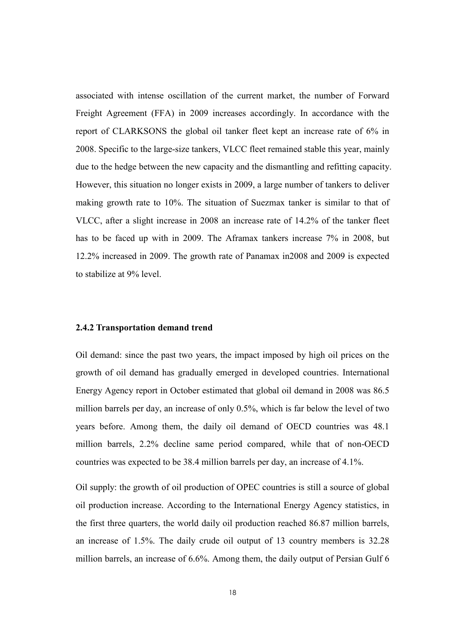associated with intense oscillation of the current market, the number of Forward Freight Agreement (FFA) in 2009 increases accordingly. In accordance with the report of CLARKSONS the global oil tanker fleet kept an increase rate of 6% in 2008. Specific to the large-size tankers, VLCC fleet remained stable this year, mainly due to the hedge between the new capacity and the dismantling and refitting capacity. However, this situation no longer exists in 2009, a large number of tankers to deliver making growth rate to 10%. The situation of Suezmax tanker is similar to that of VLCC, after a slight increase in 2008 an increase rate of 14.2% of the tanker fleet has to be faced up with in 2009. The Aframax tankers increase 7% in 2008, but 12.2% increased in 2009. The growth rate of Panamax in2008 and 2009 is expected to stabilize at 9% level.

#### 2.4.2 Transportation demand trend

Oil demand: since the past two years, the impact imposed by high oil prices on the growth of oil demand has gradually emerged in developed countries. International Energy Agency report in October estimated that global oil demand in 2008 was 86.5 million barrels per day, an increase of only 0.5%, which is far below the level of two years before. Among them, the daily oil demand of OECD countries was 48.1 million barrels, 2.2% decline same period compared, while that of non-OECD countries was expected to be 38.4 million barrels per day, an increase of 4.1%.

Oil supply: the growth of oil production of OPEC countries is still a source of global oil production increase. According to the International Energy Agency statistics, in the first three quarters, the world daily oil production reached 86.87 million barrels, an increase of 1.5%. The daily crude oil output of 13 country members is 32.28 million barrels, an increase of 6.6%. Among them, the daily output of Persian Gulf 6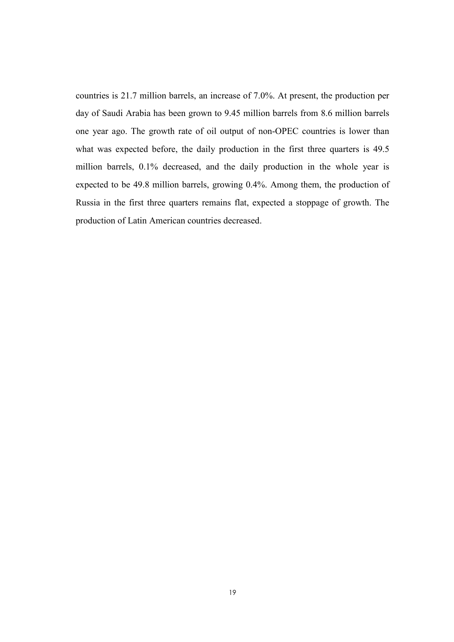countries is 21.7 million barrels, an increase of 7.0%. At present, the production per day of Saudi Arabia has been grown to 9.45 million barrels from 8.6 million barrels one year ago. The growth rate of oil output of non-OPEC countries is lower than what was expected before, the daily production in the first three quarters is 49.5 million barrels, 0.1% decreased, and the daily production in the whole year is expected to be 49.8 million barrels, growing 0.4%. Among them, the production of Russia in the first three quarters remains flat, expected a stoppage of growth. The production of Latin American countries decreased.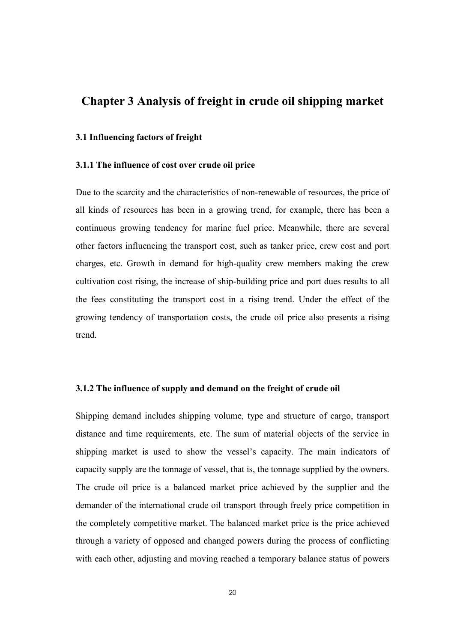# Chapter 3 Analysis of freight in crude oil shipping market

### 3.1 Influencing factors of freight

#### 3.1.1 The influence of cost over crude oil price

Due to the scarcity and the characteristics of non-renewable of resources, the price of all kinds of resources has been in a growing trend, for example, there has been a continuous growing tendency for marine fuel price. Meanwhile, there are several other factors influencing the transport cost, such as tanker price, crew cost and port charges, etc. Growth in demand for high-quality crew members making the crew cultivation cost rising, the increase of ship-building price and port dues results to all the fees constituting the transport cost in a rising trend. Under the effect of the growing tendency of transportation costs, the crude oil price also presents a rising trend.

# 3.1.2 The influence of supply and demand on the freight of crude oil

Shipping demand includes shipping volume, type and structure of cargo, transport distance and time requirements, etc. The sum of material objects of the service in shipping market is used to show the vessel's capacity. The main indicators of capacity supply are the tonnage of vessel, that is, the tonnage supplied by the owners. The crude oil price is a balanced market price achieved by the supplier and the demander of the international crude oil transport through freely price competition in the completely competitive market. The balanced market price is the price achieved through a variety of opposed and changed powers during the process of conflicting with each other, adjusting and moving reached a temporary balance status of powers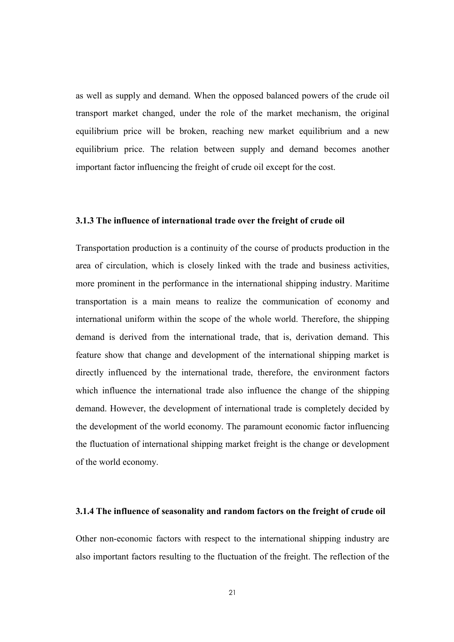as well as supply and demand. When the opposed balanced powers of the crude oil transport market changed, under the role of the market mechanism, the original equilibrium price will be broken, reaching new market equilibrium and a new equilibrium price. The relation between supply and demand becomes another important factor influencing the freight of crude oil except for the cost.

#### 3.1.3 The influence of international trade over the freight of crude oil

Transportation production is a continuity of the course of products production in the area of circulation, which is closely linked with the trade and business activities, more prominent in the performance in the international shipping industry. Maritime transportation is a main means to realize the communication of economy and international uniform within the scope of the whole world. Therefore, the shipping demand is derived from the international trade, that is, derivation demand. This feature show that change and development of the international shipping market is directly influenced by the international trade, therefore, the environment factors which influence the international trade also influence the change of the shipping demand. However, the development of international trade is completely decided by the development of the world economy. The paramount economic factor influencing the fluctuation of international shipping market freight is the change or development of the world economy.

#### 3.1.4 The influence of seasonality and random factors on the freight of crude oil

Other non-economic factors with respect to the international shipping industry are also important factors resulting to the fluctuation of the freight. The reflection of the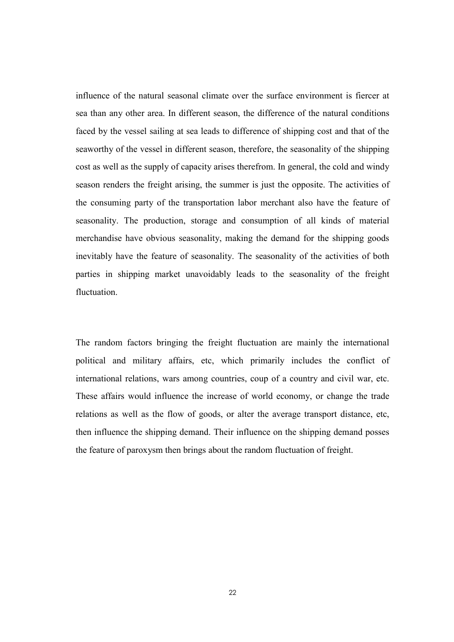influence of the natural seasonal climate over the surface environment is fiercer at sea than any other area. In different season, the difference of the natural conditions faced by the vessel sailing at sea leads to difference of shipping cost and that of the seaworthy of the vessel in different season, therefore, the seasonality of the shipping cost as well as the supply of capacity arises therefrom. In general, the cold and windy season renders the freight arising, the summer is just the opposite. The activities of the consuming party of the transportation labor merchant also have the feature of seasonality. The production, storage and consumption of all kinds of material merchandise have obvious seasonality, making the demand for the shipping goods inevitably have the feature of seasonality. The seasonality of the activities of both parties in shipping market unavoidably leads to the seasonality of the freight fluctuation.

The random factors bringing the freight fluctuation are mainly the international political and military affairs, etc, which primarily includes the conflict of international relations, wars among countries, coup of a country and civil war, etc. These affairs would influence the increase of world economy, or change the trade relations as well as the flow of goods, or alter the average transport distance, etc, then influence the shipping demand. Their influence on the shipping demand posses the feature of paroxysm then brings about the random fluctuation of freight.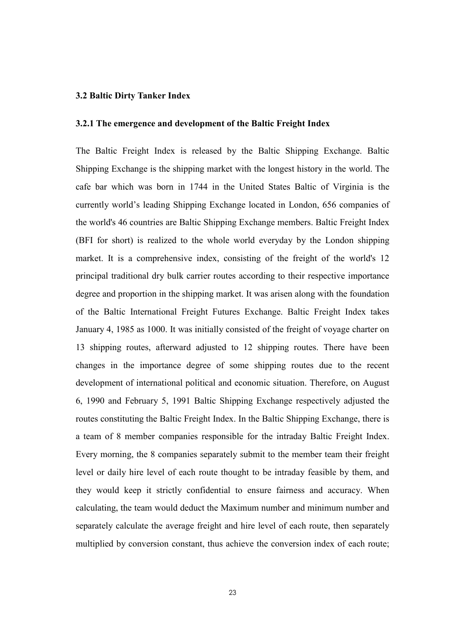### 3.2 Baltic Dirty Tanker Index

## 3.2.1 The emergence and development of the Baltic Freight Index

The Baltic Freight Index is released by the Baltic Shipping Exchange. Baltic Shipping Exchange is the shipping market with the longest history in the world. The cafe bar which was born in 1744 in the United States Baltic of Virginia is the currently world's leading Shipping Exchange located in London, 656 companies of the world's 46 countries are Baltic Shipping Exchange members. Baltic Freight Index (BFI for short) is realized to the whole world everyday by the London shipping market. It is a comprehensive index, consisting of the freight of the world's 12 principal traditional dry bulk carrier routes according to their respective importance degree and proportion in the shipping market. It was arisen along with the foundation of the Baltic International Freight Futures Exchange. Baltic Freight Index takes January 4, 1985 as 1000. It was initially consisted of the freight of voyage charter on 13 shipping routes, afterward adjusted to 12 shipping routes. There have been changes in the importance degree of some shipping routes due to the recent development of international political and economic situation. Therefore, on August 6, 1990 and February 5, 1991 Baltic Shipping Exchange respectively adjusted the routes constituting the Baltic Freight Index. In the Baltic Shipping Exchange, there is a team of 8 member companies responsible for the intraday Baltic Freight Index. Every morning, the 8 companies separately submit to the member team their freight level or daily hire level of each route thought to be intraday feasible by them, and they would keep it strictly confidential to ensure fairness and accuracy. When calculating, the team would deduct the Maximum number and minimum number and separately calculate the average freight and hire level of each route, then separately multiplied by conversion constant, thus achieve the conversion index of each route;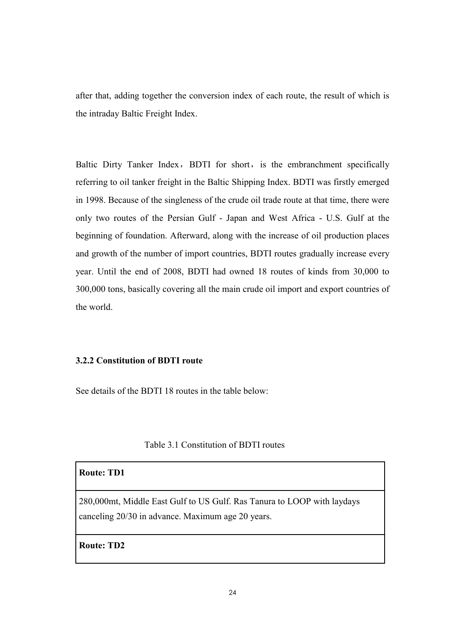after that, adding together the conversion index of each route, the result of which is the intraday Baltic Freight Index.

Baltic Dirty Tanker Index, BDTI for short, is the embranchment specifically referring to oil tanker freight in the Baltic Shipping Index. BDTI was firstly emerged in 1998. Because of the singleness of the crude oil trade route at that time, there were only two routes of the Persian Gulf - Japan and West Africa - U.S. Gulf at the beginning of foundation. Afterward, along with the increase of oil production places and growth of the number of import countries, BDTI routes gradually increase every year. Until the end of 2008, BDTI had owned 18 routes of kinds from 30,000 to 300,000 tons, basically covering all the main crude oil import and export countries of the world.

## 3.2.2 Constitution of BDTI route

See details of the BDTI 18 routes in the table below:

## Table 3.1 Constitution of BDTI routes

| <b>Route: TD1</b>                                                                                                            |
|------------------------------------------------------------------------------------------------------------------------------|
| 280,000mt, Middle East Gulf to US Gulf. Ras Tanura to LOOP with laydays<br>canceling 20/30 in advance. Maximum age 20 years. |
| <b>Route: TD2</b>                                                                                                            |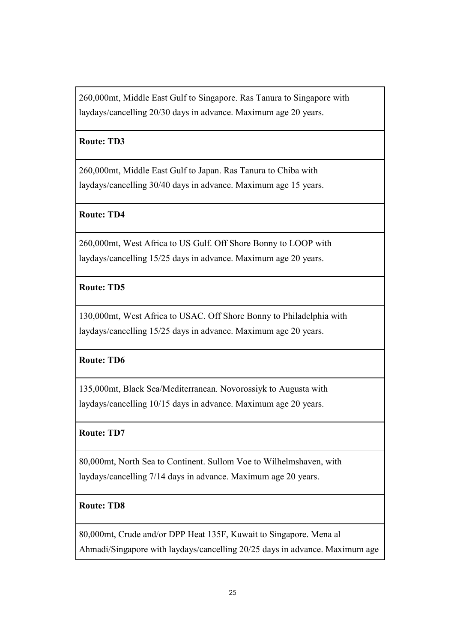260,000mt, Middle East Gulf to Singapore. Ras Tanura to Singapore with laydays/cancelling 20/30 days in advance. Maximum age 20 years.

# Route: TD3

260,000mt, Middle East Gulf to Japan. Ras Tanura to Chiba with laydays/cancelling 30/40 days in advance. Maximum age 15 years.

Route: TD4

260,000mt, West Africa to US Gulf. Off Shore Bonny to LOOP with laydays/cancelling 15/25 days in advance. Maximum age 20 years.

# Route: TD5

130,000mt, West Africa to USAC. Off Shore Bonny to Philadelphia with laydays/cancelling 15/25 days in advance. Maximum age 20 years.

# Route: TD6

135,000mt, Black Sea/Mediterranean. Novorossiyk to Augusta with laydays/cancelling 10/15 days in advance. Maximum age 20 years.

# Route: TD7

80,000mt, North Sea to Continent. Sullom Voe to Wilhelmshaven, with laydays/cancelling 7/14 days in advance. Maximum age 20 years.

# Route: TD8

80,000mt, Crude and/or DPP Heat 135F, Kuwait to Singapore. Mena al Ahmadi/Singapore with laydays/cancelling 20/25 days in advance. Maximum age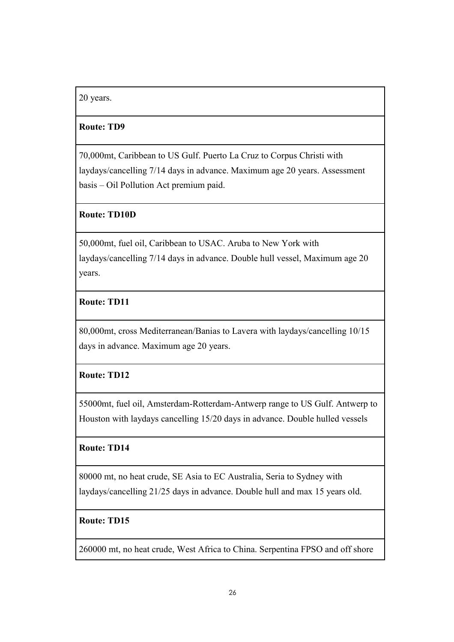# 20 years.

# Route: TD9

70,000mt, Caribbean to US Gulf. Puerto La Cruz to Corpus Christi with laydays/cancelling 7/14 days in advance. Maximum age 20 years. Assessment basis – Oil Pollution Act premium paid.

# Route: TD10D

50,000mt, fuel oil, Caribbean to USAC. Aruba to New York with laydays/cancelling 7/14 days in advance. Double hull vessel, Maximum age 20 years.

# Route: TD11

80,000mt, cross Mediterranean/Banias to Lavera with laydays/cancelling 10/15 days in advance. Maximum age 20 years.

# Route: TD12

55000mt, fuel oil, Amsterdam-Rotterdam-Antwerp range to US Gulf. Antwerp to Houston with laydays cancelling 15/20 days in advance. Double hulled vessels

# Route: TD14

80000 mt, no heat crude, SE Asia to EC Australia, Seria to Sydney with laydays/cancelling 21/25 days in advance. Double hull and max 15 years old.

# Route: TD15

260000 mt, no heat crude, West Africa to China. Serpentina FPSO and off shore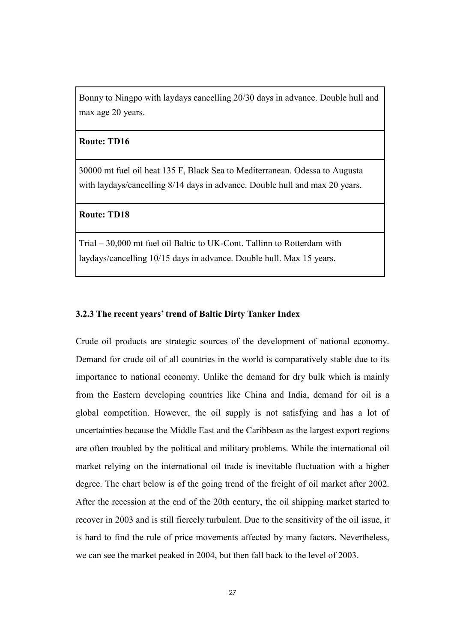Bonny to Ningpo with laydays cancelling 20/30 days in advance. Double hull and max age 20 years.

#### Route: TD16

30000 mt fuel oil heat 135 F, Black Sea to Mediterranean. Odessa to Augusta with laydays/cancelling  $8/14$  days in advance. Double hull and max 20 years.

#### Route: TD18

Trial – 30,000 mt fuel oil Baltic to UK-Cont. Tallinn to Rotterdam with laydays/cancelling 10/15 days in advance. Double hull. Max 15 years.

# 3.2.3 The recent years' trend of Baltic Dirty Tanker Index

Crude oil products are strategic sources of the development of national economy. Demand for crude oil of all countries in the world is comparatively stable due to its importance to national economy. Unlike the demand for dry bulk which is mainly from the Eastern developing countries like China and India, demand for oil is a global competition. However, the oil supply is not satisfying and has a lot of uncertainties because the Middle East and the Caribbean as the largest export regions are often troubled by the political and military problems. While the international oil market relying on the international oil trade is inevitable fluctuation with a higher degree. The chart below is of the going trend of the freight of oil market after 2002. After the recession at the end of the 20th century, the oil shipping market started to recover in 2003 and is still fiercely turbulent. Due to the sensitivity of the oil issue, it is hard to find the rule of price movements affected by many factors. Nevertheless, we can see the market peaked in 2004, but then fall back to the level of 2003.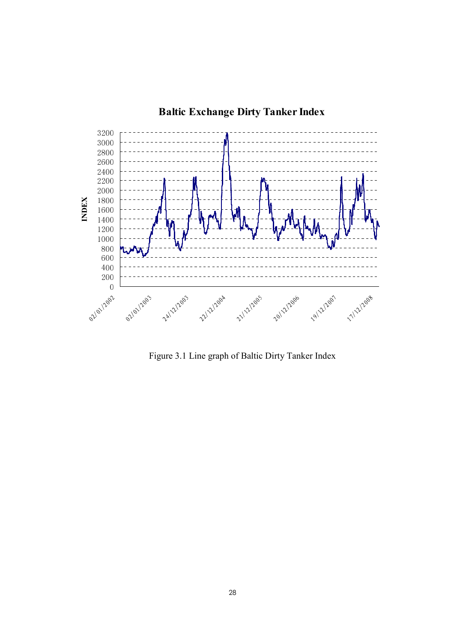

Baltic Exchange Dirty Tanker Index

Figure 3.1 Line graph of Baltic Dirty Tanker Index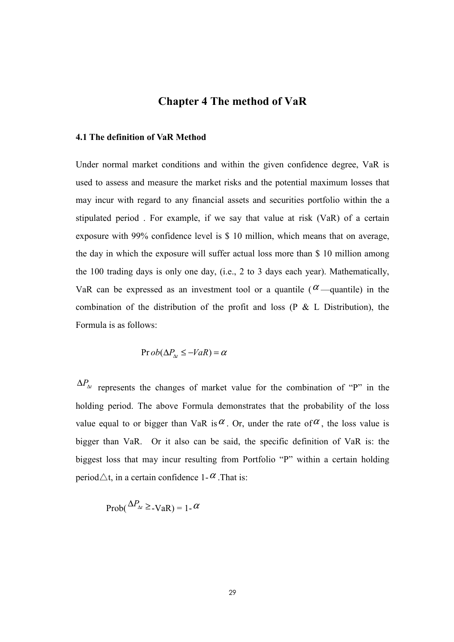# Chapter 4 The method of VaR

#### 4.1 The definition of VaR Method

Under normal market conditions and within the given confidence degree, VaR is used to assess and measure the market risks and the potential maximum losses that may incur with regard to any financial assets and securities portfolio within the a stipulated period . For example, if we say that value at risk (VaR) of a certain exposure with 99% confidence level is \$ 10 million, which means that on average, the day in which the exposure will suffer actual loss more than \$ 10 million among the 100 trading days is only one day, (i.e., 2 to 3 days each year). Mathematically, VaR can be expressed as an investment tool or a quantile ( $\alpha$  —quantile) in the combination of the distribution of the profit and loss (P  $\&$  L Distribution), the Formula is as follows:

$$
\Pr{ob(\Delta P_{\Delta t} \le -VaR)} = \alpha
$$

 $\Delta P_{\Delta t}$  represents the changes of market value for the combination of "P" in the holding period. The above Formula demonstrates that the probability of the loss value equal to or bigger than VaR is  $\alpha$ . Or, under the rate of  $\alpha$ , the loss value is bigger than VaR. Or it also can be said, the specific definition of VaR is: the biggest loss that may incur resulting from Portfolio "P" within a certain holding period $\triangle t$ , in a certain confidence 1- $\alpha$ . That is:

$$
\text{Prob}(\frac{\Delta P_{\text{w}}}{\Delta t} \geq -\text{VaR}) = 1 - \alpha
$$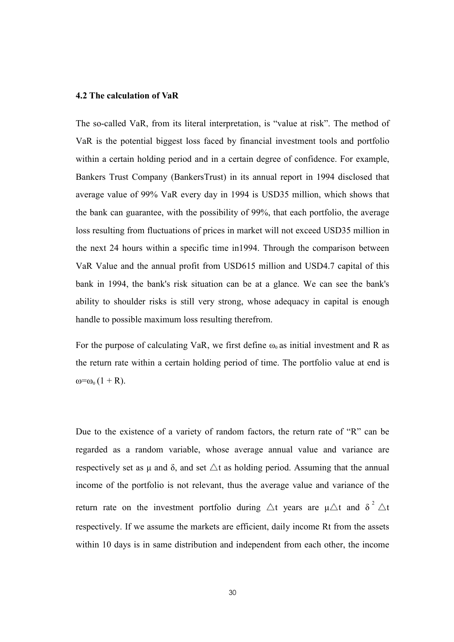#### 4.2 The calculation of VaR

The so-called VaR, from its literal interpretation, is "value at risk". The method of VaR is the potential biggest loss faced by financial investment tools and portfolio within a certain holding period and in a certain degree of confidence. For example, Bankers Trust Company (BankersTrust) in its annual report in 1994 disclosed that average value of 99% VaR every day in 1994 is USD35 million, which shows that the bank can guarantee, with the possibility of 99%, that each portfolio, the average loss resulting from fluctuations of prices in market will not exceed USD35 million in the next 24 hours within a specific time in1994. Through the comparison between VaR Value and the annual profit from USD615 million and USD4.7 capital of this bank in 1994, the bank's risk situation can be at a glance. We can see the bank's ability to shoulder risks is still very strong, whose adequacy in capital is enough handle to possible maximum loss resulting therefrom.

For the purpose of calculating VaR, we first define  $\omega_0$  as initial investment and R as the return rate within a certain holding period of time. The portfolio value at end is  $\omega = \omega_0 (1 + R)$ .

Due to the existence of a variety of random factors, the return rate of "R" can be regarded as a random variable, whose average annual value and variance are respectively set as  $\mu$  and  $\delta$ , and set  $\triangle t$  as holding period. Assuming that the annual income of the portfolio is not relevant, thus the average value and variance of the return rate on the investment portfolio during  $\triangle t$  years are  $\mu \triangle t$  and  $\delta^2 \triangle t$ respectively. If we assume the markets are efficient, daily income Rt from the assets within 10 days is in same distribution and independent from each other, the income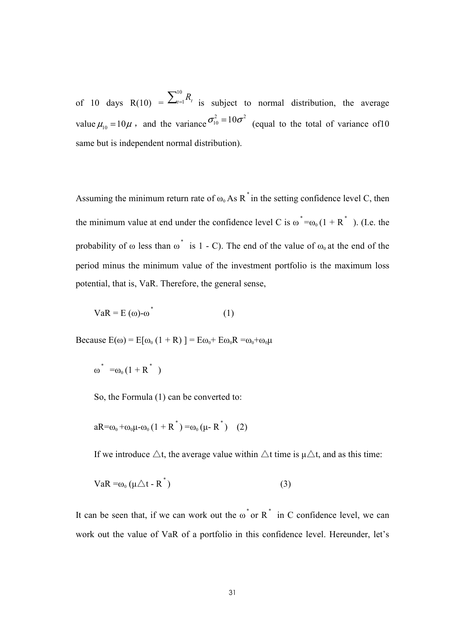of 10 days  $R(10) = \sum_{i=1}^{10}$  $T_{t=1}^{\infty} R_t$  is subject to normal distribution, the average value  $\mu_{10} = 10\mu$ , and the variance  $\sigma_{10}^2 = 10\sigma^2$  (equal to the total of variance of 10 same but is independent normal distribution).

Assuming the minimum return rate of  $\omega_0$  As R<sup>\*</sup> in the setting confidence level C, then the minimum value at end under the confidence level C is  $\omega^* = \omega_0 (1 + R^*)$ . (I.e. the probability of  $\omega$  less than  $\omega^*$  is 1 - C). The end of the value of  $\omega_0$  at the end of the period minus the minimum value of the investment portfolio is the maximum loss potential, that is, VaR. Therefore, the general sense,

$$
VaR = E(\omega) - \omega^* \tag{1}
$$

Because  $E(\omega) = E[\omega_0 (1 + R)] = E\omega_0 + E\omega_0 R = \omega_0 + \omega_0 \mu$ 

$$
\omega^* = \omega_0 (1 + R^*)
$$

So, the Formula (1) can be converted to:

$$
aR = \omega_0 + \omega_0 \mu - \omega_0 (1 + R^*) = \omega_0 (\mu - R^*) \quad (2)
$$

If we introduce  $\triangle t$ , the average value within  $\triangle t$  time is  $\mu \triangle t$ , and as this time:

$$
VaR = \omega_0 \left( \mu \triangle t - R^* \right) \tag{3}
$$

It can be seen that, if we can work out the  $\omega$  or  $R^*$  in C confidence level, we can work out the value of VaR of a portfolio in this confidence level. Hereunder, let's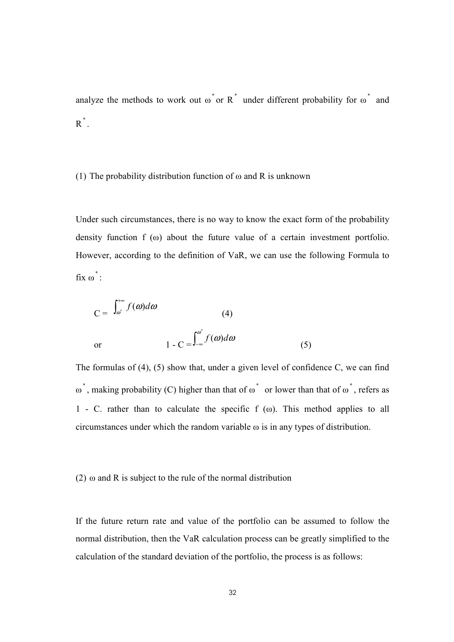analyze the methods to work out  $\omega^*$  or R<sup>\*</sup> under different probability for  $\omega^*$  and  $R^*$ .

#### (1) The probability distribution function of  $\omega$  and R is unknown

Under such circumstances, there is no way to know the exact form of the probability density function f (ω) about the future value of a certain investment portfolio. However, according to the definition of VaR, we can use the following Formula to  $fix \omega^*$ :

$$
C = \int_{\omega^*}^{+\infty} f(\omega) d\omega
$$
 (4)  
or 
$$
1 - C = \int_{-\infty}^{0^*} f(\omega) d\omega
$$
 (5)

The formulas of (4), (5) show that, under a given level of confidence C, we can find  $\omega^*$ , making probability (C) higher than that of  $\omega^*$  or lower than that of  $\omega^*$ , refers as 1 - C. rather than to calculate the specific f (ω). This method applies to all circumstances under which the random variable ω is in any types of distribution.

#### (2)  $\omega$  and R is subject to the rule of the normal distribution

If the future return rate and value of the portfolio can be assumed to follow the normal distribution, then the VaR calculation process can be greatly simplified to the calculation of the standard deviation of the portfolio, the process is as follows: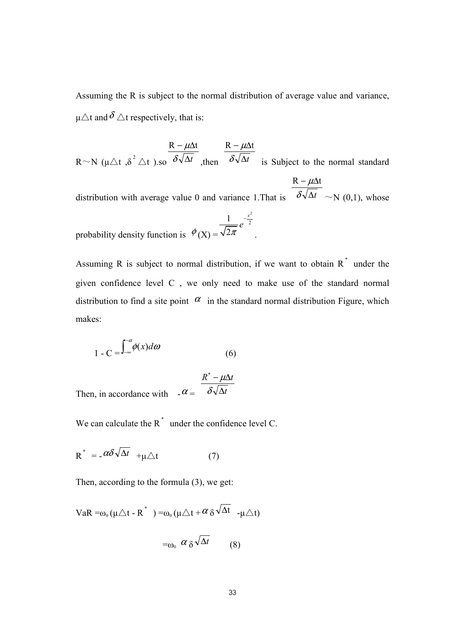Assuming the R is subject to the normal distribution of average value and variance,  $\mu \triangle t$  and  $\delta \triangle t$  respectively, that is:

R $\sim$ N (µ $\triangle$ t , $\delta^2 \triangle$ t ).so  $\delta \sqrt{\Delta t}$  $-\mu\Delta$  $\delta$  $R - \mu \Delta t$ ,then  $\delta \sqrt{\Delta t}$  $-\mu\Delta$ δ  $R - \mu \Delta t$ is Subject to the normal standard

distribution with average value 0 and variance 1.That is  $\delta \sqrt{\Delta t}$  $-\mu\Delta$ δ  $R - \mu \Delta t$  $\sim$ N (0,1), whose

2

.

probability density function is  $\phi'(X) =$  $\frac{1}{\sqrt{2}}$ 2 x  $\frac{1}{\pi}$ e −

Assuming R is subject to normal distribution, if we want to obtain  $R^*$  under the given confidence level C , we only need to make use of the standard normal distribution to find a site point  $\alpha$  in the standard normal distribution Figure, which makes:

$$
1 - C = \int_{-\infty}^{\infty} \phi(x) d\omega
$$
 (6)

Then, in accordance with  $-\alpha = \delta \sqrt{\Delta t}$  $R^* - \mu \Delta t$ ∆  $-\mu\Delta$ δ  $^\ast$  —  $\mu$ 

We can calculate the  $R^*$  under the confidence level C.

$$
R^* = -\alpha \delta \sqrt{\Delta t} + \mu \triangle t \qquad (7)
$$

Then, according to the formula (3), we get:

VaR =
$$
\omega_0 (\mu \triangle t - R^*) = \omega_0 (\mu \triangle t + \alpha \delta \sqrt{\Delta t} - \mu \triangle t)
$$

$$
=_{\omega_0} \alpha \delta^{\sqrt{\Delta t}} \qquad (8)
$$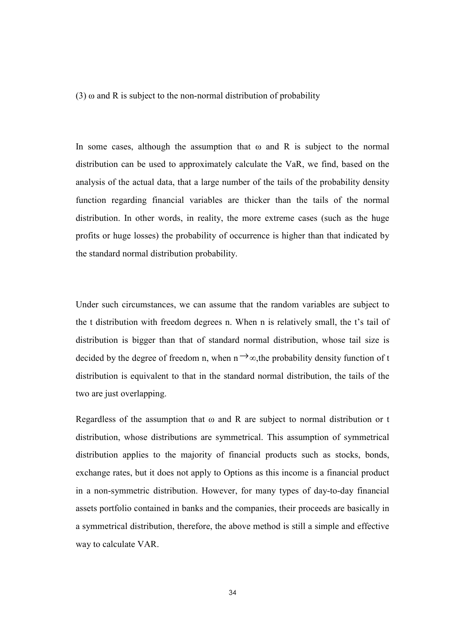(3)  $\omega$  and R is subject to the non-normal distribution of probability

In some cases, although the assumption that  $\omega$  and R is subject to the normal distribution can be used to approximately calculate the VaR, we find, based on the analysis of the actual data, that a large number of the tails of the probability density function regarding financial variables are thicker than the tails of the normal distribution. In other words, in reality, the more extreme cases (such as the huge profits or huge losses) the probability of occurrence is higher than that indicated by the standard normal distribution probability.

Under such circumstances, we can assume that the random variables are subject to the t distribution with freedom degrees n. When n is relatively small, the t's tail of distribution is bigger than that of standard normal distribution, whose tail size is decided by the degree of freedom n, when  $n \rightarrow \infty$ , the probability density function of t distribution is equivalent to that in the standard normal distribution, the tails of the two are just overlapping.

Regardless of the assumption that  $\omega$  and R are subject to normal distribution or t distribution, whose distributions are symmetrical. This assumption of symmetrical distribution applies to the majority of financial products such as stocks, bonds, exchange rates, but it does not apply to Options as this income is a financial product in a non-symmetric distribution. However, for many types of day-to-day financial assets portfolio contained in banks and the companies, their proceeds are basically in a symmetrical distribution, therefore, the above method is still a simple and effective way to calculate VAR.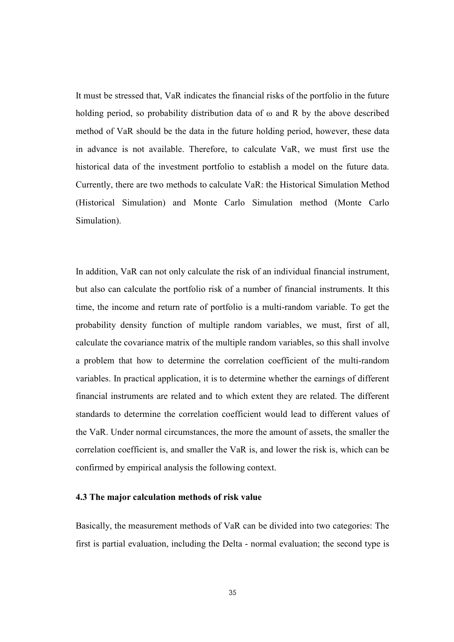It must be stressed that, VaR indicates the financial risks of the portfolio in the future holding period, so probability distribution data of  $\omega$  and R by the above described method of VaR should be the data in the future holding period, however, these data in advance is not available. Therefore, to calculate VaR, we must first use the historical data of the investment portfolio to establish a model on the future data. Currently, there are two methods to calculate VaR: the Historical Simulation Method (Historical Simulation) and Monte Carlo Simulation method (Monte Carlo Simulation).

In addition, VaR can not only calculate the risk of an individual financial instrument, but also can calculate the portfolio risk of a number of financial instruments. It this time, the income and return rate of portfolio is a multi-random variable. To get the probability density function of multiple random variables, we must, first of all, calculate the covariance matrix of the multiple random variables, so this shall involve a problem that how to determine the correlation coefficient of the multi-random variables. In practical application, it is to determine whether the earnings of different financial instruments are related and to which extent they are related. The different standards to determine the correlation coefficient would lead to different values of the VaR. Under normal circumstances, the more the amount of assets, the smaller the correlation coefficient is, and smaller the VaR is, and lower the risk is, which can be confirmed by empirical analysis the following context.

#### 4.3 The major calculation methods of risk value

Basically, the measurement methods of VaR can be divided into two categories: The first is partial evaluation, including the Delta - normal evaluation; the second type is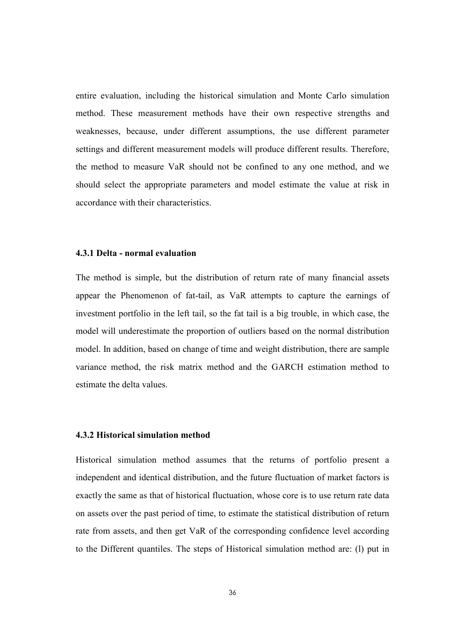entire evaluation, including the historical simulation and Monte Carlo simulation method. These measurement methods have their own respective strengths and weaknesses, because, under different assumptions, the use different parameter settings and different measurement models will produce different results. Therefore, the method to measure VaR should not be confined to any one method, and we should select the appropriate parameters and model estimate the value at risk in accordance with their characteristics.

#### 4.3.1 Delta - normal evaluation

The method is simple, but the distribution of return rate of many financial assets appear the Phenomenon of fat-tail, as VaR attempts to capture the earnings of investment portfolio in the left tail, so the fat tail is a big trouble, in which case, the model will underestimate the proportion of outliers based on the normal distribution model. In addition, based on change of time and weight distribution, there are sample variance method, the risk matrix method and the GARCH estimation method to estimate the delta values.

#### 4.3.2 Historical simulation method

Historical simulation method assumes that the returns of portfolio present a independent and identical distribution, and the future fluctuation of market factors is exactly the same as that of historical fluctuation, whose core is to use return rate data on assets over the past period of time, to estimate the statistical distribution of return rate from assets, and then get VaR of the corresponding confidence level according to the Different quantiles. The steps of Historical simulation method are: (l) put in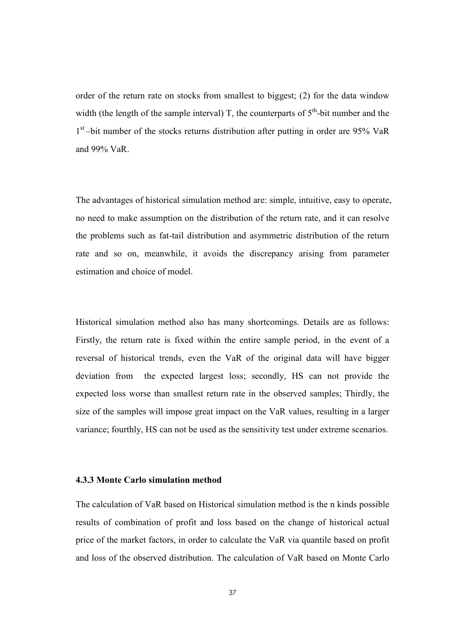order of the return rate on stocks from smallest to biggest; (2) for the data window width (the length of the sample interval)  $T$ , the counterparts of  $5<sup>th</sup>$ -bit number and the 1<sup>st</sup>-bit number of the stocks returns distribution after putting in order are 95% VaR and 99% VaR.

The advantages of historical simulation method are: simple, intuitive, easy to operate, no need to make assumption on the distribution of the return rate, and it can resolve the problems such as fat-tail distribution and asymmetric distribution of the return rate and so on, meanwhile, it avoids the discrepancy arising from parameter estimation and choice of model.

Historical simulation method also has many shortcomings. Details are as follows: Firstly, the return rate is fixed within the entire sample period, in the event of a reversal of historical trends, even the VaR of the original data will have bigger deviation from the expected largest loss; secondly, HS can not provide the expected loss worse than smallest return rate in the observed samples; Thirdly, the size of the samples will impose great impact on the VaR values, resulting in a larger variance; fourthly, HS can not be used as the sensitivity test under extreme scenarios.

### 4.3.3 Monte Carlo simulation method

The calculation of VaR based on Historical simulation method is the n kinds possible results of combination of profit and loss based on the change of historical actual price of the market factors, in order to calculate the VaR via quantile based on profit and loss of the observed distribution. The calculation of VaR based on Monte Carlo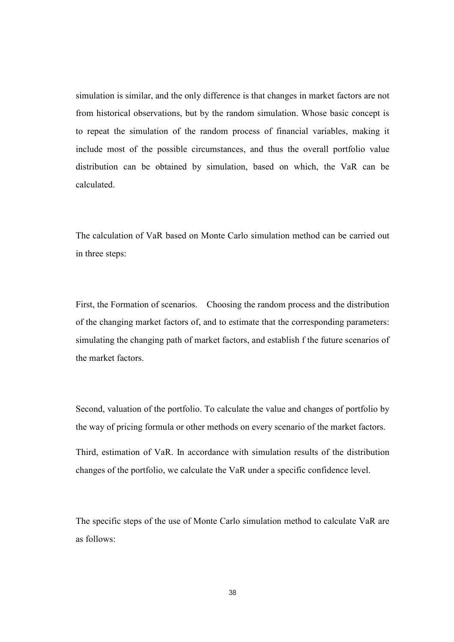simulation is similar, and the only difference is that changes in market factors are not from historical observations, but by the random simulation. Whose basic concept is to repeat the simulation of the random process of financial variables, making it include most of the possible circumstances, and thus the overall portfolio value distribution can be obtained by simulation, based on which, the VaR can be calculated.

The calculation of VaR based on Monte Carlo simulation method can be carried out in three steps:

First, the Formation of scenarios. Choosing the random process and the distribution of the changing market factors of, and to estimate that the corresponding parameters: simulating the changing path of market factors, and establish f the future scenarios of the market factors.

Second, valuation of the portfolio. To calculate the value and changes of portfolio by the way of pricing formula or other methods on every scenario of the market factors.

Third, estimation of VaR. In accordance with simulation results of the distribution changes of the portfolio, we calculate the VaR under a specific confidence level.

The specific steps of the use of Monte Carlo simulation method to calculate VaR are as follows: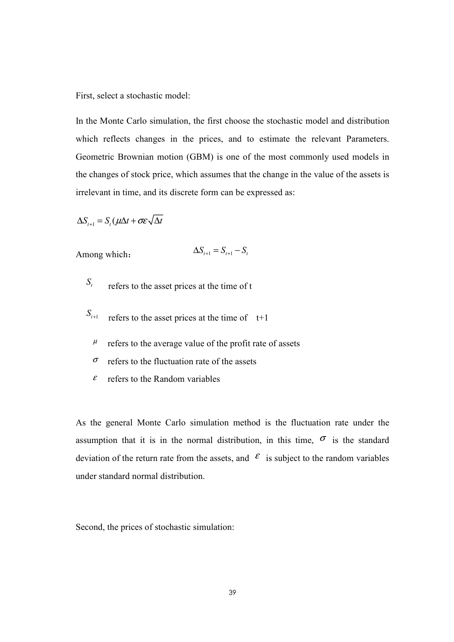First, select a stochastic model:

In the Monte Carlo simulation, the first choose the stochastic model and distribution which reflects changes in the prices, and to estimate the relevant Parameters. Geometric Brownian motion (GBM) is one of the most commonly used models in the changes of stock price, which assumes that the change in the value of the assets is irrelevant in time, and its discrete form can be expressed as:

$$
\Delta S_{t+1} = S_t (\mu \Delta t + \sigma \varepsilon \sqrt{\Delta t})
$$

Among which:

$$
\Delta S_{t+1} = S_{t+1} - S_t
$$

- $S_{t}$ refers to the asset prices at the time of t
- $S_{t+1}$ refers to the asset prices at the time of  $t+1$ 
	- $\mu$  refers to the average value of the profit rate of assets
	- $\sigma$  refers to the fluctuation rate of the assets
	- $\epsilon$  refers to the Random variables

As the general Monte Carlo simulation method is the fluctuation rate under the assumption that it is in the normal distribution, in this time,  $\sigma$  is the standard deviation of the return rate from the assets, and  $\epsilon$  is subject to the random variables under standard normal distribution.

Second, the prices of stochastic simulation: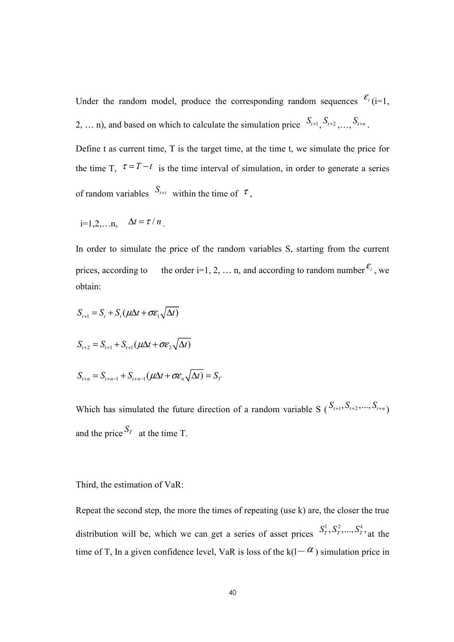Under the random model, produce the corresponding random sequences  $\mathcal{E}_{i}$  (i=1, 2, ... n), and based on which to calculate the simulation price  $S_{t+1}$ ,  $S_{t+2}$ , ...,  $S_{t+n}$ .

Define t as current time, T is the target time, at the time t, we simulate the price for the time T,  $\tau = T - t$  is the time interval of simulation, in order to generate a series of random variables  $S_{t+i}$  within the time of  $\tau$ ,

$$
i=1,2,\ldots n, \quad \Delta t = \tau / n
$$

In order to simulate the price of the random variables S, starting from the current prices, according to the order i=1, 2, ... n, and according to random number  $\mathcal{E}_i$ , we obtain:

$$
S_{t+1} = S_t + S_t (\mu \Delta t + \sigma \varepsilon_1 \sqrt{\Delta t})
$$
  

$$
S_{t+2} = S_{t+1} + S_{t+1} (\mu \Delta t + \sigma \varepsilon_2 \sqrt{\Delta t})
$$
  

$$
S_{t+n} = S_{t+n-1} + S_{t+n-1} (\mu \Delta t + \sigma \varepsilon_n \sqrt{\Delta t}) = S_T
$$

Which has simulated the future direction of a random variable S ( $S_{t+1}, S_{t+2},..., S_{t+n}$ ) and the price  $S_T$  at the time T.

Third, the estimation of VaR:

Repeat the second step, the more the times of repeating (use k) are, the closer the true distribution will be, which we can get a series of asset prices  $S_T^1, S_T^2, ..., S_T^k$  at the time of T, In a given confidence level, VaR is loss of the  $k(l-\alpha)$  simulation price in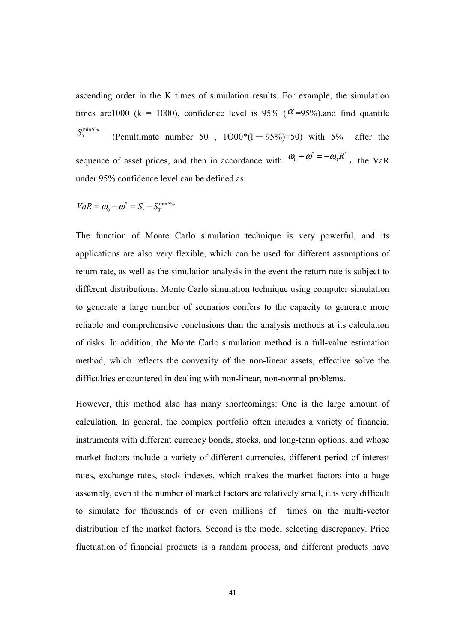ascending order in the K times of simulation results. For example, the simulation times are 1000 (k = 1000), confidence level is 95% ( $\alpha$ =95%), and find quantile min 5%  $S_{\scriptscriptstyle T}^{\scriptscriptstyle \rm I}$ (Penultimate number 50,  $1000*(1-95%)=50$ ) with 5% after the sequence of asset prices, and then in accordance with  $\omega_0 - \omega^* = -\omega_0 R^*$ , the VaR under 95% confidence level can be defined as:

$$
VaR = \boldsymbol{\omega}_0 - \boldsymbol{\omega}^* = S_t - S_T^{\min S\%}
$$

The function of Monte Carlo simulation technique is very powerful, and its applications are also very flexible, which can be used for different assumptions of return rate, as well as the simulation analysis in the event the return rate is subject to different distributions. Monte Carlo simulation technique using computer simulation to generate a large number of scenarios confers to the capacity to generate more reliable and comprehensive conclusions than the analysis methods at its calculation of risks. In addition, the Monte Carlo simulation method is a full-value estimation method, which reflects the convexity of the non-linear assets, effective solve the difficulties encountered in dealing with non-linear, non-normal problems.

However, this method also has many shortcomings: One is the large amount of calculation. In general, the complex portfolio often includes a variety of financial instruments with different currency bonds, stocks, and long-term options, and whose market factors include a variety of different currencies, different period of interest rates, exchange rates, stock indexes, which makes the market factors into a huge assembly, even if the number of market factors are relatively small, it is very difficult to simulate for thousands of or even millions of times on the multi-vector distribution of the market factors. Second is the model selecting discrepancy. Price fluctuation of financial products is a random process, and different products have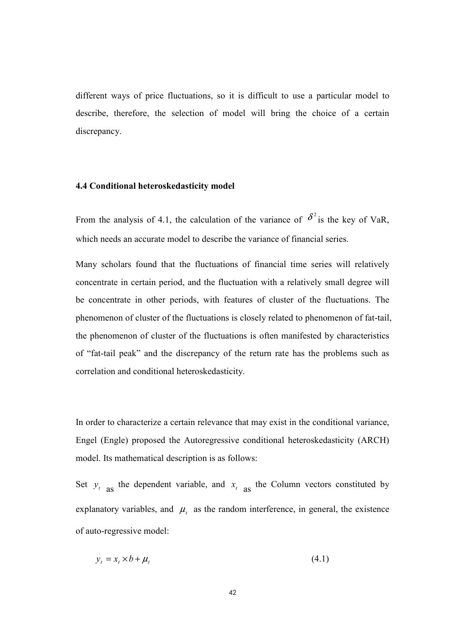different ways of price fluctuations, so it is difficult to use a particular model to describe, therefore, the selection of model will bring the choice of a certain discrepancy.

#### 4.4 Conditional heteroskedasticity model

From the analysis of 4.1, the calculation of the variance of  $\delta^2$  is the key of VaR, which needs an accurate model to describe the variance of financial series.

Many scholars found that the fluctuations of financial time series will relatively concentrate in certain period, and the fluctuation with a relatively small degree will be concentrate in other periods, with features of cluster of the fluctuations. The phenomenon of cluster of the fluctuations is closely related to phenomenon of fat-tail, the phenomenon of cluster of the fluctuations is often manifested by characteristics of "fat-tail peak" and the discrepancy of the return rate has the problems such as correlation and conditional heteroskedasticity.

In order to characterize a certain relevance that may exist in the conditional variance, Engel (Engle) proposed the Autoregressive conditional heteroskedasticity (ARCH) model. Its mathematical description is as follows:

Set  $y_t$  as the dependent variable, and  $x_t$  as the Column vectors constituted by explanatory variables, and  $\mu_t$  as the random interference, in general, the existence of auto-regressive model:

$$
y_t = x_t \times b + \mu_t \tag{4.1}
$$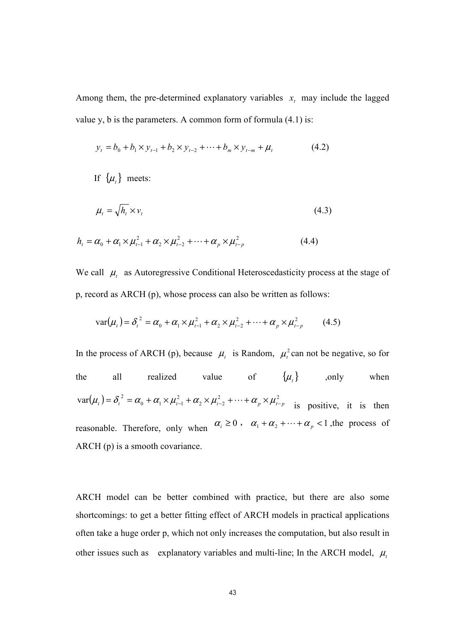Among them, the pre-determined explanatory variables  $x_t$  may include the lagged value y, b is the parameters. A common form of formula (4.1) is:

$$
y_{t} = b_{0} + b_{1} \times y_{t-1} + b_{2} \times y_{t-2} + \dots + b_{m} \times y_{t-m} + \mu_{t}
$$
 (4.2)

If  $\{\mu_{k}\}\$ meets:

$$
\mu_t = \sqrt{h_t} \times \nu_t \tag{4.3}
$$

$$
h_{t} = \alpha_{0} + \alpha_{1} \times \mu_{t-1}^{2} + \alpha_{2} \times \mu_{t-2}^{2} + \dots + \alpha_{p} \times \mu_{t-p}^{2}
$$
 (4.4)

We call  $\mu_t$  as Autoregressive Conditional Heteroscedasticity process at the stage of p, record as ARCH (p), whose process can also be written as follows:

$$
var(\mu_{t}) = \delta_{t}^{2} = \alpha_{0} + \alpha_{1} \times \mu_{t-1}^{2} + \alpha_{2} \times \mu_{t-2}^{2} + \dots + \alpha_{p} \times \mu_{t-p}^{2}
$$
 (4.5)

In the process of ARCH (p), because  $\mu_t$  is Random,  $\mu_t^2$  can not be negative, so for the all realized value of  $\{\mu_t\}$  ,only when  $(\mu_{_t}) = \delta_{_t}^{2} = \alpha_{_0} + \alpha_{_1} \times \mu_{_{t-1}}^{2} + \alpha_{_2} \times \mu_{_{t-2}}^{2} + \cdots + \alpha_{_n} \times \mu_{_{t}}^{2}$ 2  $\sim \mu_{t-2}$ 2  $0$   $\mathbf{u}_1 \wedge \boldsymbol{\mu}_{t-1}$  $var(\mu_t) = \delta_t^2 = \alpha_0 + \alpha_1 \times \mu_{t-1}^2 + \alpha_2 \times \mu_{t-2}^2 + \cdots + \alpha_p \times \mu_{t-p}^2$  is positive, it is then reasonable. Therefore, only when  $\alpha_i \geq 0$ ,  $\alpha_1 + \alpha_2 + \cdots + \alpha_p < 1$ , the process of ARCH (p) is a smooth covariance.

ARCH model can be better combined with practice, but there are also some shortcomings: to get a better fitting effect of ARCH models in practical applications often take a huge order p, which not only increases the computation, but also result in other issues such as explanatory variables and multi-line; In the ARCH model,  $\mu$ ,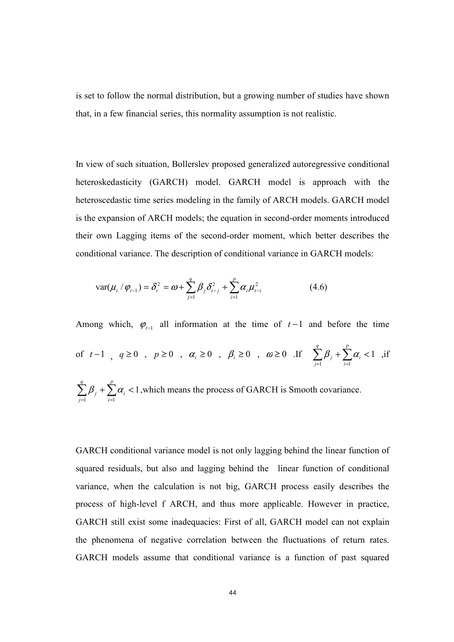is set to follow the normal distribution, but a growing number of studies have shown that, in a few financial series, this normality assumption is not realistic.

In view of such situation, Bollerslev proposed generalized autoregressive conditional heteroskedasticity (GARCH) model. GARCH model is approach with the heteroscedastic time series modeling in the family of ARCH models. GARCH model is the expansion of ARCH models; the equation in second-order moments introduced their own Lagging items of the second-order moment, which better describes the conditional variance. The description of conditional variance in GARCH models:

$$
var(\mu_t / \varphi_{t-1}) = \delta_t^2 = \omega + \sum_{j=1}^q \beta_j \delta_{t-j}^2 + \sum_{i=1}^p \alpha_i \mu_{t-i}^2
$$
 (4.6)

Among which,  $\varphi_{t-1}$  all information at the time of  $t-1$  and before the time of  $t-1$ ,  $q \ge 0$ ,  $p \ge 0$ ,  $\alpha_i \ge 0$ ,  $\beta_i \ge 0$ ,  $\omega \ge 0$ . If  $\sum_{j=1}^{\infty} \beta_j + \sum_{i=1}^{k} \beta_i$  $+$   $\sum \alpha_i$  < q j p i  $j$  '  $\angle$   $\alpha_i$  $1 \t i=1$  $\beta_i + \sum \alpha_i < 1$ , if  $\sum^4\beta_j+\sum^p$  $=1$   $i=$  $+$   $\sum \alpha_i$  < q j p i  $j$  '  $\angle$   $\alpha_i$  $1 \t i=1$  $\beta_i + \sum_{i} \alpha_i$  < 1, which means the process of GARCH is Smooth covariance.

GARCH conditional variance model is not only lagging behind the linear function of squared residuals, but also and lagging behind the linear function of conditional variance, when the calculation is not big, GARCH process easily describes the process of high-level f ARCH, and thus more applicable. However in practice, GARCH still exist some inadequacies: First of all, GARCH model can not explain the phenomena of negative correlation between the fluctuations of return rates. GARCH models assume that conditional variance is a function of past squared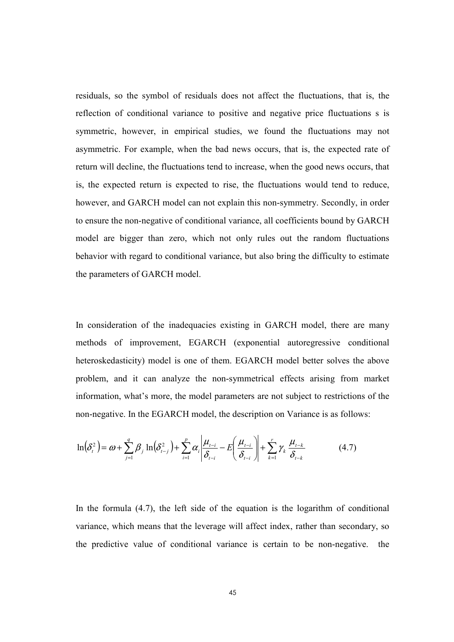residuals, so the symbol of residuals does not affect the fluctuations, that is, the reflection of conditional variance to positive and negative price fluctuations s is symmetric, however, in empirical studies, we found the fluctuations may not asymmetric. For example, when the bad news occurs, that is, the expected rate of return will decline, the fluctuations tend to increase, when the good news occurs, that is, the expected return is expected to rise, the fluctuations would tend to reduce, however, and GARCH model can not explain this non-symmetry. Secondly, in order to ensure the non-negative of conditional variance, all coefficients bound by GARCH model are bigger than zero, which not only rules out the random fluctuations behavior with regard to conditional variance, but also bring the difficulty to estimate the parameters of GARCH model.

In consideration of the inadequacies existing in GARCH model, there are many methods of improvement, EGARCH (exponential autoregressive conditional heteroskedasticity) model is one of them. EGARCH model better solves the above problem, and it can analyze the non-symmetrical effects arising from market information, what's more, the model parameters are not subject to restrictions of the non-negative. In the EGARCH model, the description on Variance is as follows:

$$
\ln(\delta_i^2) = \omega + \sum_{j=1}^q \beta_j \ln(\delta_{i-j}^2) + \sum_{i=1}^p \alpha_i \left| \frac{\mu_{i-i}}{\delta_{i-i}} - E \left( \frac{\mu_{i-i}}{\delta_{i-i}} \right) \right| + \sum_{k=1}^r \gamma_k \frac{\mu_{i-k}}{\delta_{i-k}}
$$
(4.7)

In the formula (4.7), the left side of the equation is the logarithm of conditional variance, which means that the leverage will affect index, rather than secondary, so the predictive value of conditional variance is certain to be non-negative. the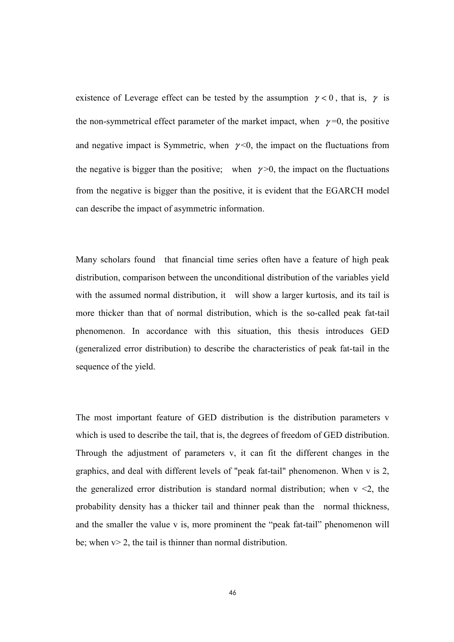existence of Leverage effect can be tested by the assumption  $\gamma < 0$ , that is,  $\gamma$  is the non-symmetrical effect parameter of the market impact, when  $\gamma=0$ , the positive and negative impact is Symmetric, when  $\gamma$ <0, the impact on the fluctuations from the negative is bigger than the positive; when  $\gamma > 0$ , the impact on the fluctuations from the negative is bigger than the positive, it is evident that the EGARCH model can describe the impact of asymmetric information.

Many scholars found that financial time series often have a feature of high peak distribution, comparison between the unconditional distribution of the variables yield with the assumed normal distribution, it will show a larger kurtosis, and its tail is more thicker than that of normal distribution, which is the so-called peak fat-tail phenomenon. In accordance with this situation, this thesis introduces GED (generalized error distribution) to describe the characteristics of peak fat-tail in the sequence of the yield.

The most important feature of GED distribution is the distribution parameters v which is used to describe the tail, that is, the degrees of freedom of GED distribution. Through the adjustment of parameters v, it can fit the different changes in the graphics, and deal with different levels of "peak fat-tail" phenomenon. When v is 2, the generalized error distribution is standard normal distribution; when  $v \le 2$ , the probability density has a thicker tail and thinner peak than the normal thickness, and the smaller the value v is, more prominent the "peak fat-tail" phenomenon will be; when  $v > 2$ , the tail is thinner than normal distribution.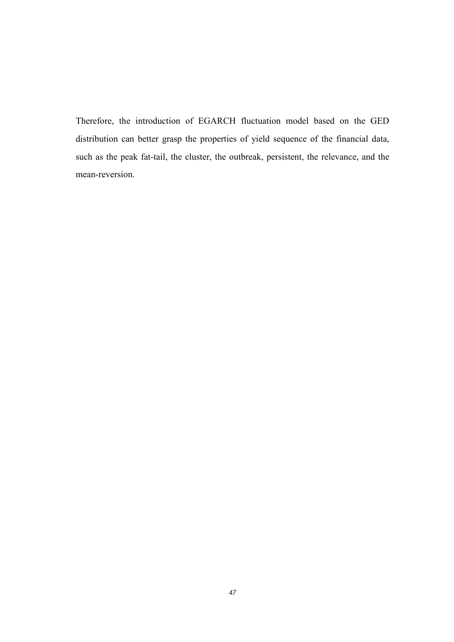Therefore, the introduction of EGARCH fluctuation model based on the GED distribution can better grasp the properties of yield sequence of the financial data, such as the peak fat-tail, the cluster, the outbreak, persistent, the relevance, and the mean-reversion.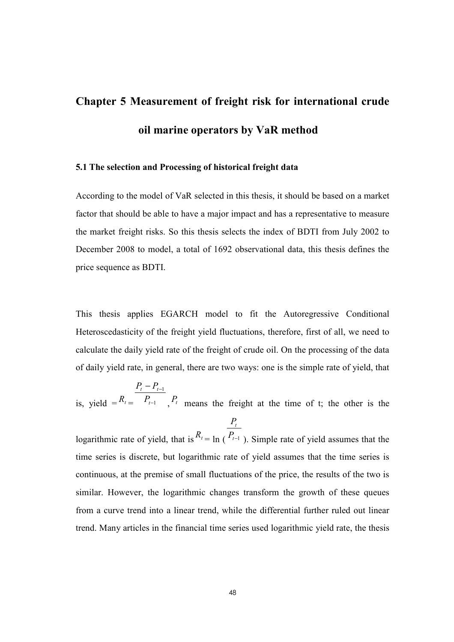# Chapter 5 Measurement of freight risk for international crude oil marine operators by VaR method

#### 5.1 The selection and Processing of historical freight data

According to the model of VaR selected in this thesis, it should be based on a market factor that should be able to have a major impact and has a representative to measure the market freight risks. So this thesis selects the index of BDTI from July 2002 to December 2008 to model, a total of 1692 observational data, this thesis defines the price sequence as BDTI.

This thesis applies EGARCH model to fit the Autoregressive Conditional Heteroscedasticity of the freight yield fluctuations, therefore, first of all, we need to calculate the daily yield rate of the freight of crude oil. On the processing of the data of daily yield rate, in general, there are two ways: one is the simple rate of yield, that

is, yield  $=R_t = P_{t-1}$ 1 −  $-P_{t-}$ t  $t$   $\frac{1}{t}$  $P_{_{l}}$  $P_t - P_t$  $P_{t}$  means the freight at the time of t; the other is the

logarithmic rate of yield, that is  $R_t = \ln (P_{t-1})$ t  $P_{_{l}}$  $P_{_{l}}$ ). Simple rate of yield assumes that the time series is discrete, but logarithmic rate of yield assumes that the time series is continuous, at the premise of small fluctuations of the price, the results of the two is similar. However, the logarithmic changes transform the growth of these queues from a curve trend into a linear trend, while the differential further ruled out linear trend. Many articles in the financial time series used logarithmic yield rate, the thesis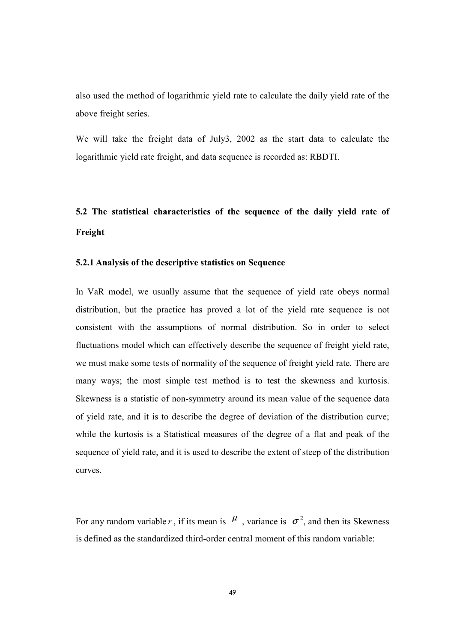also used the method of logarithmic yield rate to calculate the daily yield rate of the above freight series.

We will take the freight data of July3, 2002 as the start data to calculate the logarithmic yield rate freight, and data sequence is recorded as: RBDTI.

# 5.2 The statistical characteristics of the sequence of the daily yield rate of Freight

#### 5.2.1 Analysis of the descriptive statistics on Sequence

In VaR model, we usually assume that the sequence of yield rate obeys normal distribution, but the practice has proved a lot of the yield rate sequence is not consistent with the assumptions of normal distribution. So in order to select fluctuations model which can effectively describe the sequence of freight yield rate, we must make some tests of normality of the sequence of freight yield rate. There are many ways; the most simple test method is to test the skewness and kurtosis. Skewness is a statistic of non-symmetry around its mean value of the sequence data of yield rate, and it is to describe the degree of deviation of the distribution curve; while the kurtosis is a Statistical measures of the degree of a flat and peak of the sequence of yield rate, and it is used to describe the extent of steep of the distribution curves.

For any random variable r, if its mean is  $\mu$ , variance is  $\sigma^2$ , and then its Skewness is defined as the standardized third-order central moment of this random variable: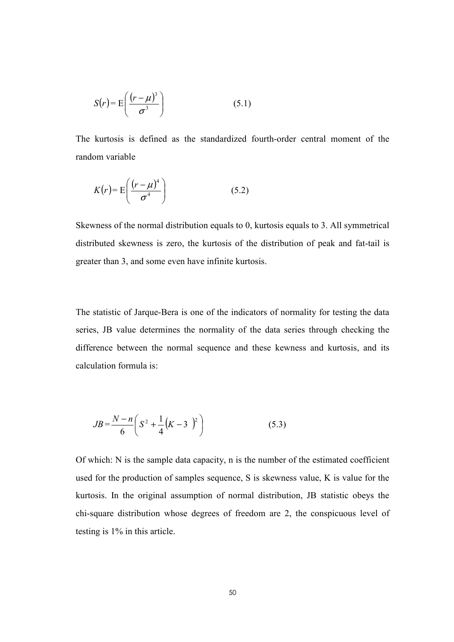$$
S(r) = E\left(\frac{(r-\mu)^3}{\sigma^3}\right) \tag{5.1}
$$

The kurtosis is defined as the standardized fourth-order central moment of the random variable

$$
K(r) = \mathcal{E}\left(\frac{(r-\mu)^4}{\sigma^4}\right) \tag{5.2}
$$

Skewness of the normal distribution equals to 0, kurtosis equals to 3. All symmetrical distributed skewness is zero, the kurtosis of the distribution of peak and fat-tail is greater than 3, and some even have infinite kurtosis.

The statistic of Jarque-Bera is one of the indicators of normality for testing the data series, JB value determines the normality of the data series through checking the difference between the normal sequence and these kewness and kurtosis, and its calculation formula is:

$$
JB = \frac{N - n}{6} \left( S^2 + \frac{1}{4} \left( K - 3 \right)^2 \right) \tag{5.3}
$$

Of which: N is the sample data capacity, n is the number of the estimated coefficient used for the production of samples sequence, S is skewness value, K is value for the kurtosis. In the original assumption of normal distribution, JB statistic obeys the chi-square distribution whose degrees of freedom are 2, the conspicuous level of testing is 1% in this article.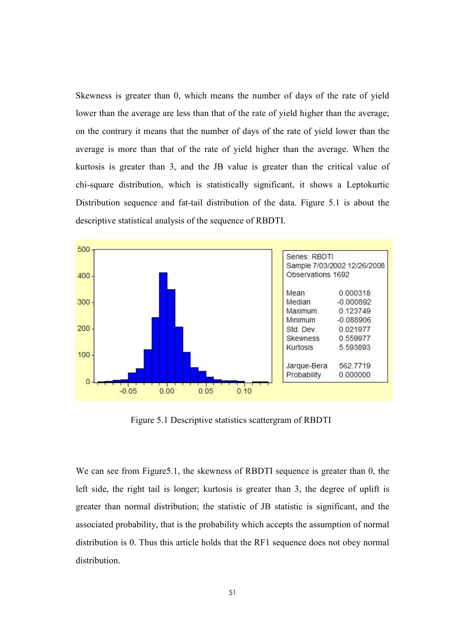Skewness is greater than 0, which means the number of days of the rate of yield lower than the average are less than that of the rate of yield higher than the average; on the contrary it means that the number of days of the rate of yield lower than the average is more than that of the rate of yield higher than the average. When the kurtosis is greater than 3, and the JB value is greater than the critical value of chi-square distribution, which is statistically significant, it shows a Leptokurtic Distribution sequence and fat-tail distribution of the data. Figure 5.1 is about the descriptive statistical analysis of the sequence of RBDTI.



Figure 5.1 Descriptive statistics scattergram of RBDTI

We can see from Figure 5.1, the skewness of RBDTI sequence is greater than 0, the left side, the right tail is longer; kurtosis is greater than 3, the degree of uplift is greater than normal distribution; the statistic of JB statistic is significant, and the associated probability, that is the probability which accepts the assumption of normal distribution is 0. Thus this article holds that the RF1 sequence does not obey normal distribution.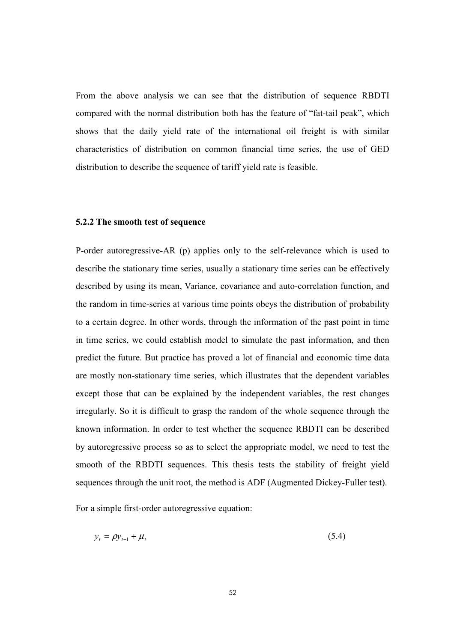From the above analysis we can see that the distribution of sequence RBDTI compared with the normal distribution both has the feature of "fat-tail peak", which shows that the daily yield rate of the international oil freight is with similar characteristics of distribution on common financial time series, the use of GED distribution to describe the sequence of tariff yield rate is feasible.

#### 5.2.2 The smooth test of sequence

P-order autoregressive-AR (p) applies only to the self-relevance which is used to describe the stationary time series, usually a stationary time series can be effectively described by using its mean, Variance, covariance and auto-correlation function, and the random in time-series at various time points obeys the distribution of probability to a certain degree. In other words, through the information of the past point in time in time series, we could establish model to simulate the past information, and then predict the future. But practice has proved a lot of financial and economic time data are mostly non-stationary time series, which illustrates that the dependent variables except those that can be explained by the independent variables, the rest changes irregularly. So it is difficult to grasp the random of the whole sequence through the known information. In order to test whether the sequence RBDTI can be described by autoregressive process so as to select the appropriate model, we need to test the smooth of the RBDTI sequences. This thesis tests the stability of freight yield sequences through the unit root, the method is ADF (Augmented Dickey-Fuller test).

For a simple first-order autoregressive equation:

$$
y_t = \rho y_{t-1} + \mu_t \tag{5.4}
$$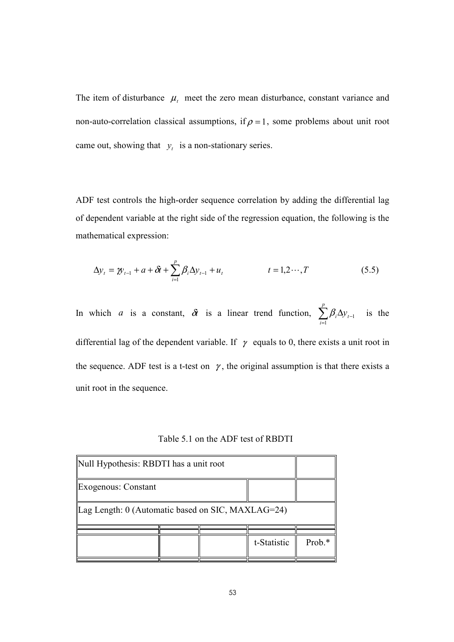The item of disturbance  $\mu_t$  meet the zero mean disturbance, constant variance and non-auto-correlation classical assumptions, if  $\rho = 1$ , some problems about unit root came out, showing that  $y_t$  is a non-stationary series.

ADF test controls the high-order sequence correlation by adding the differential lag of dependent variable at the right side of the regression equation, the following is the mathematical expression:

$$
\Delta y_t = y_{t-1} + a + \delta t + \sum_{i=1}^p \beta_i \Delta y_{t-1} + u_t \qquad \qquad t = 1, 2 \cdots, T \qquad (5.5)
$$

In which *a* is a constant,  $\delta t$  is a linear trend function,  $\sum_{i=1}^{n}$ =  $\Delta y_{t-}$ p i  $\Delta y_t$ 1  $\beta_i \Delta y_{t-1}$  is the differential lag of the dependent variable. If  $\gamma$  equals to 0, there exists a unit root in the sequence. ADF test is a t-test on  $\gamma$ , the original assumption is that there exists a unit root in the sequence.

Table 5.1 on the ADF test of RBDTI

| Null Hypothesis: RBDTI has a unit root            |  |  |             |          |
|---------------------------------------------------|--|--|-------------|----------|
| Exogenous: Constant                               |  |  |             |          |
| Lag Length: 0 (Automatic based on SIC, MAXLAG=24) |  |  |             |          |
|                                                   |  |  |             |          |
|                                                   |  |  | t-Statistic | $Prob.*$ |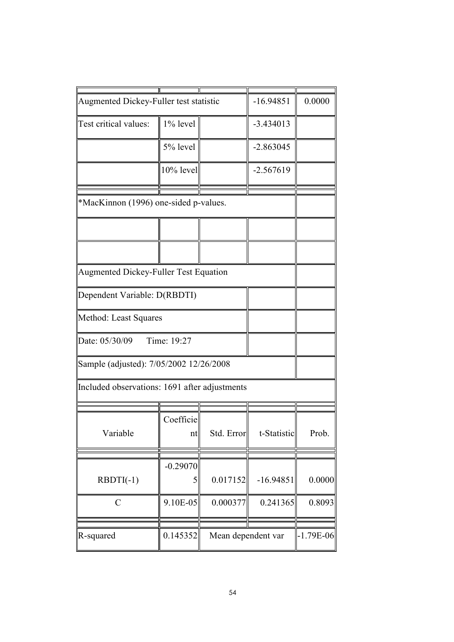| Augmented Dickey-Fuller test statistic       | $-16.94851$                                   | 0.0000             |             |        |  |  |  |
|----------------------------------------------|-----------------------------------------------|--------------------|-------------|--------|--|--|--|
| Test critical values:                        | $1\%$ level                                   |                    | $-3.434013$ |        |  |  |  |
|                                              | 5% level                                      |                    | $-2.863045$ |        |  |  |  |
|                                              | 10% level                                     |                    | $-2.567619$ |        |  |  |  |
|                                              | *MacKinnon (1996) one-sided p-values.         |                    |             |        |  |  |  |
|                                              |                                               |                    |             |        |  |  |  |
|                                              |                                               |                    |             |        |  |  |  |
| <b>Augmented Dickey-Fuller Test Equation</b> |                                               |                    |             |        |  |  |  |
| Dependent Variable: D(RBDTI)                 |                                               |                    |             |        |  |  |  |
| Method: Least Squares                        |                                               |                    |             |        |  |  |  |
| Date: 05/30/09                               | Time: 19:27                                   |                    |             |        |  |  |  |
|                                              | Sample (adjusted): 7/05/2002 12/26/2008       |                    |             |        |  |  |  |
|                                              | Included observations: 1691 after adjustments |                    |             |        |  |  |  |
| Variable                                     | Coefficie<br>nt                               | Std. Error         | t-Statistic | Prob.  |  |  |  |
|                                              | $-0.29070$                                    |                    |             |        |  |  |  |
| $RBDTI(-1)$                                  | 5                                             | 0.017152           | $-16.94851$ | 0.0000 |  |  |  |
| $\mathcal{C}$                                | 9.10E-05                                      | 0.000377           | 0.241365    | 0.8093 |  |  |  |
| R-squared                                    | 0.145352                                      | Mean dependent var | $-1.79E-06$ |        |  |  |  |
|                                              |                                               |                    |             |        |  |  |  |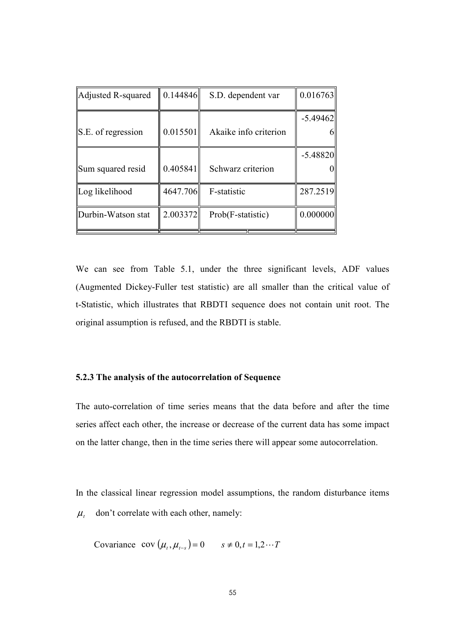| Adjusted R-squared | 0.144846 | S.D. dependent var    | 0.016763   |
|--------------------|----------|-----------------------|------------|
| S.E. of regression | 0.015501 | Akaike info criterion | $-5.49462$ |
| Sum squared resid  | 0.405841 | Schwarz criterion     | $-5.48820$ |
| Log likelihood     | 4647.706 | F-statistic           | 287.2519   |
| Durbin-Watson stat | 2.003372 | Prob(F-statistic)     | 0.000000   |

We can see from Table 5.1, under the three significant levels, ADF values (Augmented Dickey-Fuller test statistic) are all smaller than the critical value of t-Statistic, which illustrates that RBDTI sequence does not contain unit root. The original assumption is refused, and the RBDTI is stable.

#### 5.2.3 The analysis of the autocorrelation of Sequence

The auto-correlation of time series means that the data before and after the time series affect each other, the increase or decrease of the current data has some impact on the latter change, then in the time series there will appear some autocorrelation.

In the classical linear regression model assumptions, the random disturbance items  $\mu_{_t}$ don't correlate with each other, namely:

Covariance  $cov(\mu_t, \mu_{t-s}) = 0$   $s \neq 0, t = 1, 2 \cdots T$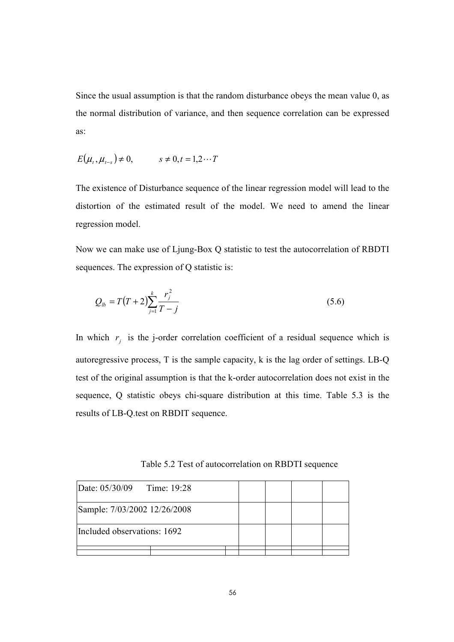Since the usual assumption is that the random disturbance obeys the mean value 0, as the normal distribution of variance, and then sequence correlation can be expressed as:

$$
E(\mu_t, \mu_{t-s}) \neq 0, \qquad s \neq 0, t = 1, 2 \cdots T
$$

The existence of Disturbance sequence of the linear regression model will lead to the distortion of the estimated result of the model. We need to amend the linear regression model.

Now we can make use of Ljung-Box Q statistic to test the autocorrelation of RBDTI sequences. The expression of Q statistic is:

$$
Q_{lb} = T(T+2)\sum_{j=1}^{k} \frac{r_j^2}{T-j}
$$
\n(5.6)

In which  $r_j$  is the j-order correlation coefficient of a residual sequence which is autoregressive process, T is the sample capacity, k is the lag order of settings. LB-Q test of the original assumption is that the k-order autocorrelation does not exist in the sequence, Q statistic obeys chi-square distribution at this time. Table 5.3 is the results of LB-Q.test on RBDIT sequence.

Table 5.2 Test of autocorrelation on RBDTI sequence

| Date: 05/30/09 Time: 19:28   |  |  |  |  |
|------------------------------|--|--|--|--|
| Sample: 7/03/2002 12/26/2008 |  |  |  |  |
| Included observations: 1692  |  |  |  |  |
|                              |  |  |  |  |
|                              |  |  |  |  |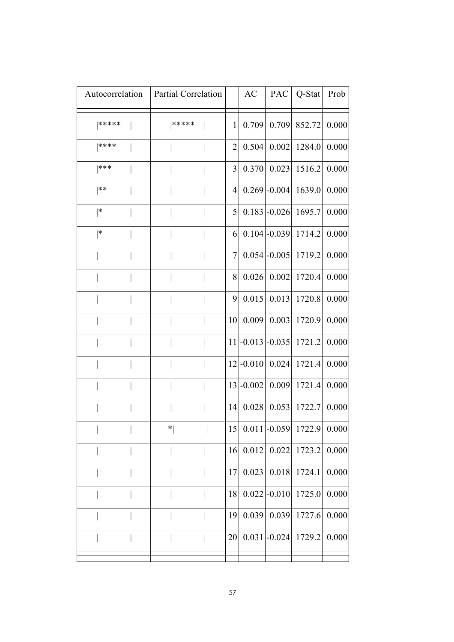| Autocorrelation | Partial Correlation |                | AC                | PAC            | Q-Stat                                | Prob  |
|-----------------|---------------------|----------------|-------------------|----------------|---------------------------------------|-------|
| *****           | *****               |                |                   |                |                                       |       |
|                 |                     | $\mathbf{1}$   | 0.709             |                | 0.709 852.72                          | 0.000 |
| ****            |                     | 2              | 0.504             |                | $0.002$ 1284.0 0.000                  |       |
| ***             |                     | $\overline{3}$ | 0.370             | 0.023          | 1516.2                                | 0.000 |
| **              |                     | 4              |                   |                | $0.269$ -0.004   1639.0   0.000       |       |
| *               |                     | 5 <sup>1</sup> |                   |                | $0.183$ -0.026 1695.7                 | 0.000 |
| *               |                     |                |                   |                | $6 0.104  -0.039 1714.2 0.000 $       |       |
|                 |                     | 7              |                   |                | $0.054$ -0.005 1719.2                 | 0.000 |
|                 |                     | 8              | 0.026             |                | $0.002$ 1720.4 0.000                  |       |
|                 |                     | 9              |                   |                | $0.015$ 0.013 1720.8                  | 0.000 |
|                 |                     | 10             | 0.009             |                | $0.003$ 1720.9                        | 0.000 |
|                 |                     |                |                   |                | $11$ -0.013 -0.035   1721.2           | 0.000 |
|                 |                     |                | $12$ -0.010 0.024 |                | 1721.4 0.000                          |       |
|                 |                     |                | $13 - 0.002$      |                | $0.009$ 1721.4 0.000                  |       |
|                 |                     | 14             | 0.028             |                | $0.053$ 1722.7 0.000                  |       |
|                 | $*$                 |                |                   |                | $\vert$ 15 0.011 - 0.059 1722.9 0.000 |       |
|                 |                     | 16             | 0.012             | 0.022          | 1723.2                                | 0.000 |
|                 |                     | 17             | 0.023             | 0.018          | 1724.1                                | 0.000 |
|                 |                     | 18             |                   | $0.022$ -0.010 | 1725.0                                | 0.000 |
|                 |                     | 19             | 0.039             | 0.039          | 1727.6                                | 0.000 |
|                 |                     | 20             |                   | $0.031$ -0.024 | 1729.2                                | 0.000 |
|                 |                     |                |                   |                |                                       |       |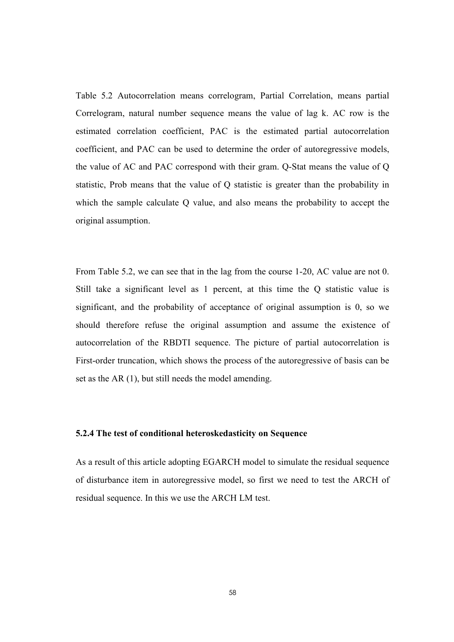Table 5.2 Autocorrelation means correlogram, Partial Correlation, means partial Correlogram, natural number sequence means the value of lag k. AC row is the estimated correlation coefficient, PAC is the estimated partial autocorrelation coefficient, and PAC can be used to determine the order of autoregressive models, the value of AC and PAC correspond with their gram. Q-Stat means the value of Q statistic, Prob means that the value of Q statistic is greater than the probability in which the sample calculate Q value, and also means the probability to accept the original assumption.

From Table 5.2, we can see that in the lag from the course 1-20, AC value are not 0. Still take a significant level as 1 percent, at this time the Q statistic value is significant, and the probability of acceptance of original assumption is 0, so we should therefore refuse the original assumption and assume the existence of autocorrelation of the RBDTI sequence. The picture of partial autocorrelation is First-order truncation, which shows the process of the autoregressive of basis can be set as the AR (1), but still needs the model amending.

#### 5.2.4 The test of conditional heteroskedasticity on Sequence

As a result of this article adopting EGARCH model to simulate the residual sequence of disturbance item in autoregressive model, so first we need to test the ARCH of residual sequence. In this we use the ARCH LM test.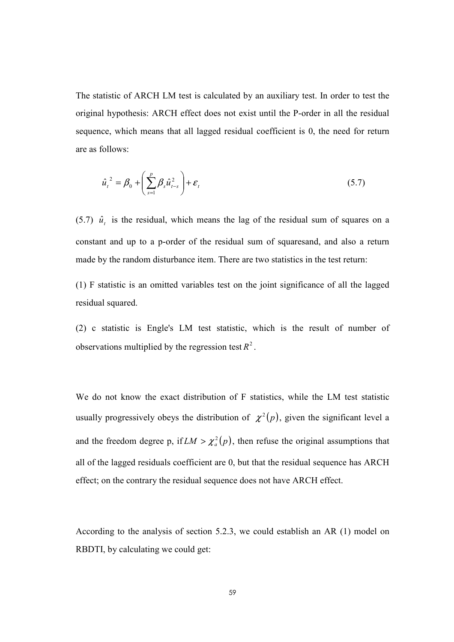The statistic of ARCH LM test is calculated by an auxiliary test. In order to test the original hypothesis: ARCH effect does not exist until the P-order in all the residual sequence, which means that all lagged residual coefficient is 0, the need for return are as follows:

$$
\hat{u}_t^2 = \beta_0 + \left(\sum_{s=1}^p \beta_s \hat{u}_{t-s}^2\right) + \varepsilon_t \tag{5.7}
$$

(5.7)  $\hat{u}_t$  is the residual, which means the lag of the residual sum of squares on a constant and up to a p-order of the residual sum of squaresand, and also a return made by the random disturbance item. There are two statistics in the test return:

(1) F statistic is an omitted variables test on the joint significance of all the lagged residual squared.

(2) c statistic is Engle's LM test statistic, which is the result of number of observations multiplied by the regression test  $R^2$ .

We do not know the exact distribution of F statistics, while the LM test statistic usually progressively obeys the distribution of  $\chi^2(p)$ , given the significant level a and the freedom degree p, if  $LM > \chi_a^2(p)$ , then refuse the original assumptions that all of the lagged residuals coefficient are 0, but that the residual sequence has ARCH effect; on the contrary the residual sequence does not have ARCH effect.

According to the analysis of section 5.2.3, we could establish an AR (1) model on RBDTI, by calculating we could get: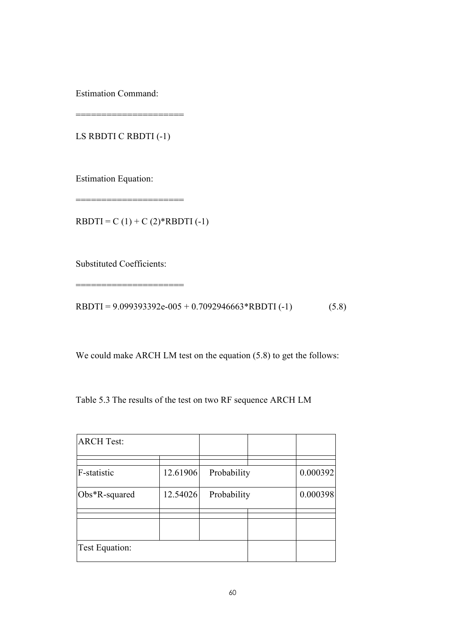Estimation Command:

LS RBDTI C RBDTI (-1)

=====================

Estimation Equation:

RBDTI = C $(1)$  + C $(2)$ \*RBDTI $(-1)$ 

=<br>===========

Substituted Coefficients:

=====================

RBDTI = 9.099393392e-005 + 0.7092946663\*RBDTI (-1) (5.8)

We could make ARCH LM test on the equation  $(5.8)$  to get the follows:

Table 5.3 The results of the test on two RF sequence ARCH LM

| <b>ARCH Test:</b> |          |             |  |          |
|-------------------|----------|-------------|--|----------|
| F-statistic       | 12.61906 | Probability |  | 0.000392 |
| Obs*R-squared     | 12.54026 | Probability |  | 0.000398 |
|                   |          |             |  |          |
| Test Equation:    |          |             |  |          |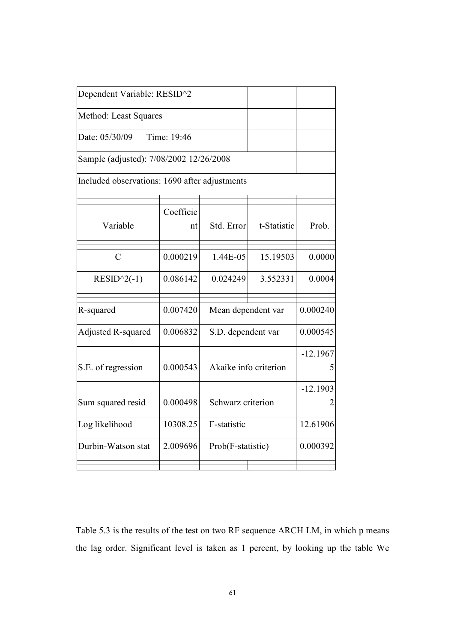| Dependent Variable: RESID^2                   |                 |                       |             |                              |
|-----------------------------------------------|-----------------|-----------------------|-------------|------------------------------|
| Method: Least Squares                         |                 |                       |             |                              |
| Time: 19:46<br>Date: 05/30/09                 |                 |                       |             |                              |
| Sample (adjusted): 7/08/2002 12/26/2008       |                 |                       |             |                              |
| Included observations: 1690 after adjustments |                 |                       |             |                              |
| Variable                                      | Coefficie<br>nt | Std. Error            | t-Statistic | Prob.                        |
| $\mathcal{C}$                                 | 0.000219        | 1.44E-05              | 15.19503    | 0.0000                       |
| $RESID^2(-1)$                                 | 0.086142        | 0.024249              | 3.552331    | 0.0004                       |
| R-squared                                     | 0.007420        | Mean dependent var    |             | 0.000240                     |
| <b>Adjusted R-squared</b>                     | 0.006832        | S.D. dependent var    |             | 0.000545                     |
| S.E. of regression                            | 0.000543        | Akaike info criterion |             | $-12.1967$<br>5              |
| Sum squared resid                             | 0.000498        | Schwarz criterion     |             | $-12.1903$<br>$\overline{2}$ |
| Log likelihood                                | 10308.25        | F-statistic           |             | 12.61906                     |
| Durbin-Watson stat                            | 2.009696        | Prob(F-statistic)     |             | 0.000392                     |
|                                               |                 |                       |             |                              |

Table 5.3 is the results of the test on two RF sequence ARCH LM, in which p means the lag order. Significant level is taken as 1 percent, by looking up the table We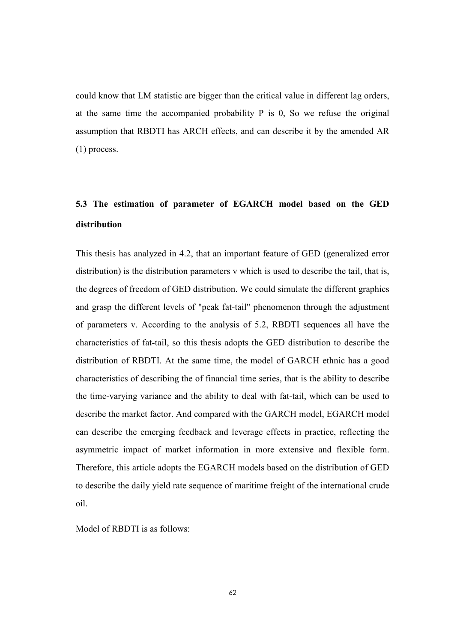could know that LM statistic are bigger than the critical value in different lag orders, at the same time the accompanied probability P is 0, So we refuse the original assumption that RBDTI has ARCH effects, and can describe it by the amended AR (1) process.

# 5.3 The estimation of parameter of EGARCH model based on the GED distribution

This thesis has analyzed in 4.2, that an important feature of GED (generalized error distribution) is the distribution parameters v which is used to describe the tail, that is, the degrees of freedom of GED distribution. We could simulate the different graphics and grasp the different levels of "peak fat-tail" phenomenon through the adjustment of parameters v. According to the analysis of 5.2, RBDTI sequences all have the characteristics of fat-tail, so this thesis adopts the GED distribution to describe the distribution of RBDTI. At the same time, the model of GARCH ethnic has a good characteristics of describing the of financial time series, that is the ability to describe the time-varying variance and the ability to deal with fat-tail, which can be used to describe the market factor. And compared with the GARCH model, EGARCH model can describe the emerging feedback and leverage effects in practice, reflecting the asymmetric impact of market information in more extensive and flexible form. Therefore, this article adopts the EGARCH models based on the distribution of GED to describe the daily yield rate sequence of maritime freight of the international crude oil.

Model of RBDTI is as follows: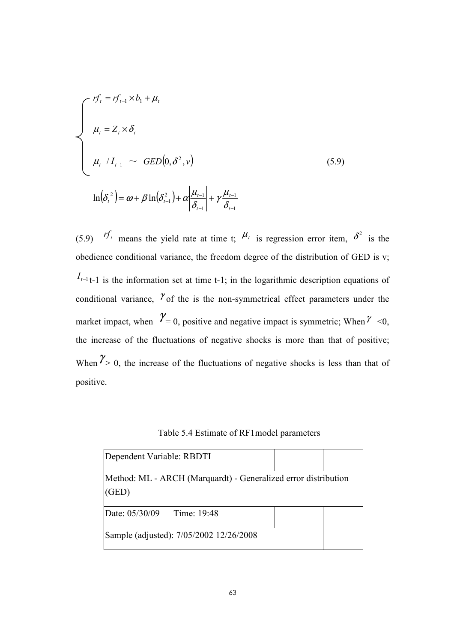$$
\int_{\mu_t}^{r} f_t = rf_{t-1} \times b_1 + \mu_t
$$
\n
$$
\mu_t = Z_t \times \delta_t
$$
\n
$$
\mu_t / I_{t-1} \sim \text{GED}(0, \delta^2, v)
$$
\n
$$
\ln(\delta_t^2) = \omega + \beta \ln(\delta_{t-1}^2) + \alpha \left| \frac{\mu_{t-1}}{\delta_{t-1}} \right| + \gamma \frac{\mu_{t-1}}{\delta_{t-1}}
$$
\n(5.9)

(5.9)  $rf_t$  means the yield rate at time t;  $\mu_t$  is regression error item,  $\delta^2$  is the obedience conditional variance, the freedom degree of the distribution of GED is v;  $I_{t-1}$  t-1 is the information set at time t-1; in the logarithmic description equations of conditional variance,  $\gamma$  of the is the non-symmetrical effect parameters under the market impact, when  $\gamma = 0$ , positive and negative impact is symmetric; When  $\gamma \leq 0$ , the increase of the fluctuations of negative shocks is more than that of positive; When  $\frac{\gamma}{\gamma}$  0, the increase of the fluctuations of negative shocks is less than that of positive.

Table 5.4 Estimate of RF1model parameters

| Dependent Variable: RBDTI                                               |  |
|-------------------------------------------------------------------------|--|
| Method: ML - ARCH (Marquardt) - Generalized error distribution<br>(GED) |  |
| Date: 05/30/09 Time: 19:48                                              |  |
| Sample (adjusted): 7/05/2002 12/26/2008                                 |  |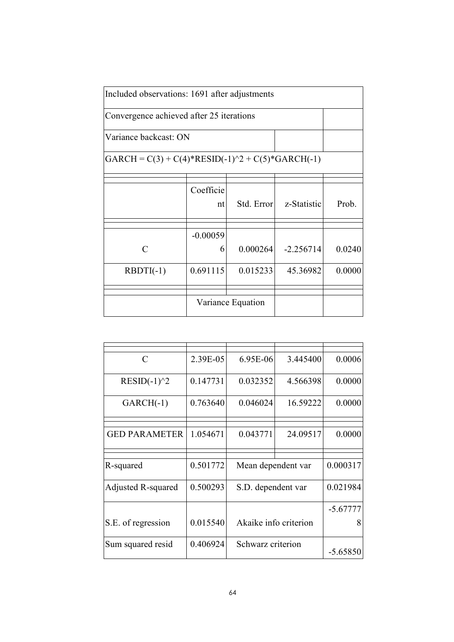| Included observations: 1691 after adjustments          |            |                   |             |        |
|--------------------------------------------------------|------------|-------------------|-------------|--------|
| Convergence achieved after 25 iterations               |            |                   |             |        |
| Variance backcast: ON                                  |            |                   |             |        |
| GARCH = $C(3) + C(4)$ *RESID(-1)^2 + $C(5)$ *GARCH(-1) |            |                   |             |        |
|                                                        |            |                   |             |        |
|                                                        | Coefficie  |                   |             |        |
|                                                        | nt         | Std. Error        | z-Statistic | Prob.  |
|                                                        |            |                   |             |        |
|                                                        | $-0.00059$ |                   |             |        |
| $\subset$                                              | 6          | 0.000264          | $-2.256714$ | 0.0240 |
| $RBDTI(-1)$                                            | 0.691115   | 0.015233          | 45.36982    | 0.0000 |
|                                                        |            |                   |             |        |
|                                                        |            | Variance Equation |             |        |

| $\mathcal{C}$        | 2.39E-05 | 6.95E-06              | 3.445400 | 0.0006     |
|----------------------|----------|-----------------------|----------|------------|
| $RESID(-1)^2$        | 0.147731 | 0.032352              | 4.566398 | 0.0000     |
| $GARCH(-1)$          | 0.763640 | 0.046024              | 16.59222 | 0.0000     |
|                      |          |                       |          |            |
| <b>GED PARAMETER</b> | 1.054671 | 0.043771              | 24.09517 | 0.0000     |
|                      |          |                       |          |            |
| R-squared            | 0.501772 | Mean dependent var    |          | 0.000317   |
| Adjusted R-squared   | 0.500293 | S.D. dependent var    |          | 0.021984   |
|                      |          |                       |          | $-5.67777$ |
| S.E. of regression   | 0.015540 | Akaike info criterion |          | 8          |
| Sum squared resid    | 0.406924 | Schwarz criterion     |          | $-5.65850$ |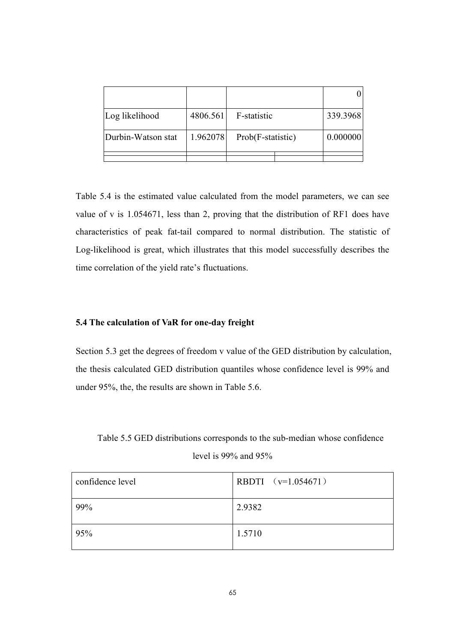| Log likelihood     | 4806.561 | F-statistic       |  | 339.3968 |
|--------------------|----------|-------------------|--|----------|
| Durbin-Watson stat | 1.962078 | Prob(F-statistic) |  | 0.000000 |
|                    |          |                   |  |          |

Table 5.4 is the estimated value calculated from the model parameters, we can see value of v is 1.054671, less than 2, proving that the distribution of RF1 does have characteristics of peak fat-tail compared to normal distribution. The statistic of Log-likelihood is great, which illustrates that this model successfully describes the time correlation of the yield rate's fluctuations.

### 5.4 The calculation of VaR for one-day freight

Section 5.3 get the degrees of freedom v value of the GED distribution by calculation, the thesis calculated GED distribution quantiles whose confidence level is 99% and under 95%, the, the results are shown in Table 5.6.

Table 5.5 GED distributions corresponds to the sub-median whose confidence level is 99% and 95%

| confidence level | RBDTI $(v=1.054671)$ |
|------------------|----------------------|
| 99%              | 2.9382               |
| 95%              | 1.5710               |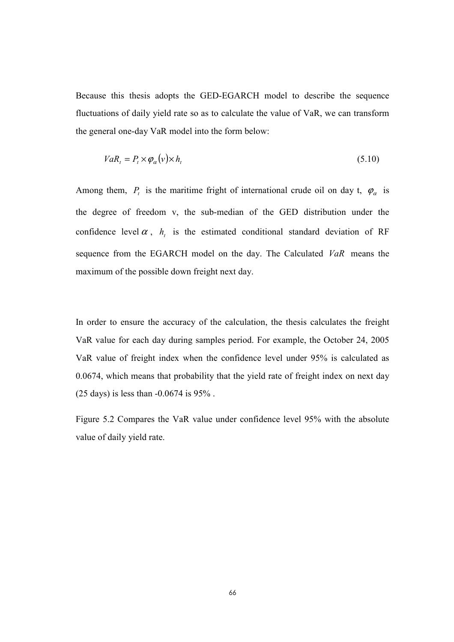Because this thesis adopts the GED-EGARCH model to describe the sequence fluctuations of daily yield rate so as to calculate the value of VaR, we can transform the general one-day VaR model into the form below:

$$
VaR_t = P_t \times \varphi_\alpha(v) \times h_t \tag{5.10}
$$

Among them,  $P_t$  is the maritime fright of international crude oil on day t,  $\varphi_\alpha$  is the degree of freedom v, the sub-median of the GED distribution under the confidence level  $\alpha$ ,  $h_t$  is the estimated conditional standard deviation of RF sequence from the EGARCH model on the day. The Calculated VaR means the maximum of the possible down freight next day.

In order to ensure the accuracy of the calculation, the thesis calculates the freight VaR value for each day during samples period. For example, the October 24, 2005 VaR value of freight index when the confidence level under 95% is calculated as 0.0674, which means that probability that the yield rate of freight index on next day (25 days) is less than -0.0674 is 95% .

Figure 5.2 Compares the VaR value under confidence level 95% with the absolute value of daily yield rate.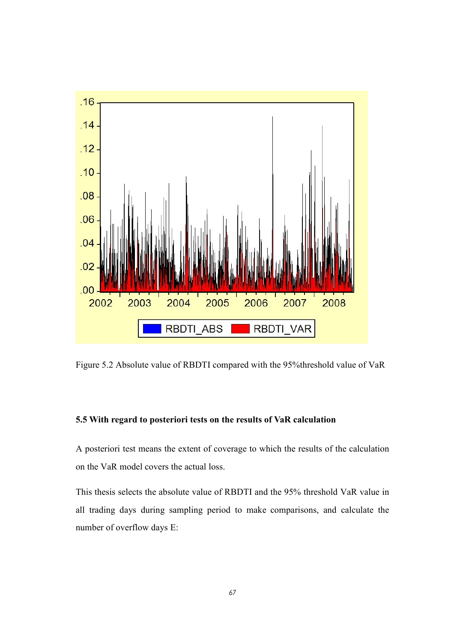

Figure 5.2 Absolute value of RBDTI compared with the 95%threshold value of VaR

### 5.5 With regard to posteriori tests on the results of VaR calculation

A posteriori test means the extent of coverage to which the results of the calculation on the VaR model covers the actual loss.

This thesis selects the absolute value of RBDTI and the 95% threshold VaR value in all trading days during sampling period to make comparisons, and calculate the number of overflow days E: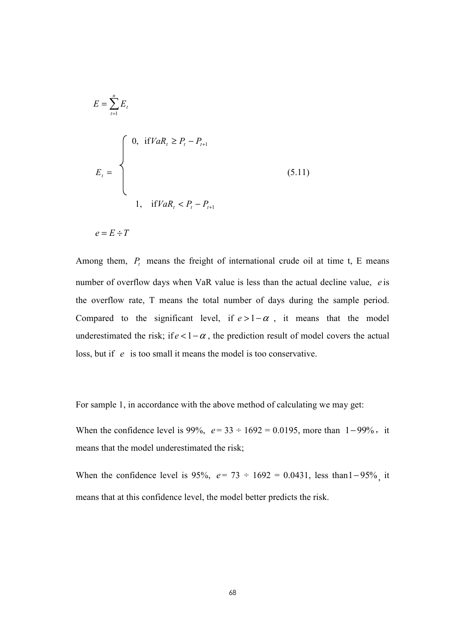$$
E = \sum_{t=1}^{n} E_t
$$
  
\n
$$
E_t = \begin{cases}\n0, & \text{if } VaR_t \ge P_t - P_{t+1} \\
& \text{if } VaR_t < P_t - P_{t+1} \\
& \text{if } VaR_t < P_t - P_{t+1}\n\end{cases}
$$
\n
$$
e = E \div T
$$
\n(5.11)

Among them,  $P_t$  means the freight of international crude oil at time t, E means number of overflow days when VaR value is less than the actual decline value, e is the overflow rate, T means the total number of days during the sample period. Compared to the significant level, if  $e > 1-\alpha$ , it means that the model underestimated the risk; if  $e < 1-\alpha$ , the prediction result of model covers the actual loss, but if e is too small it means the model is too conservative.

For sample 1, in accordance with the above method of calculating we may get:

When the confidence level is 99%,  $e = 33 \div 1692 = 0.0195$ , more than 1–99%, it means that the model underestimated the risk;

When the confidence level is 95%,  $e = 73 \div 1692 = 0.0431$ , less than 1 - 95%, it means that at this confidence level, the model better predicts the risk.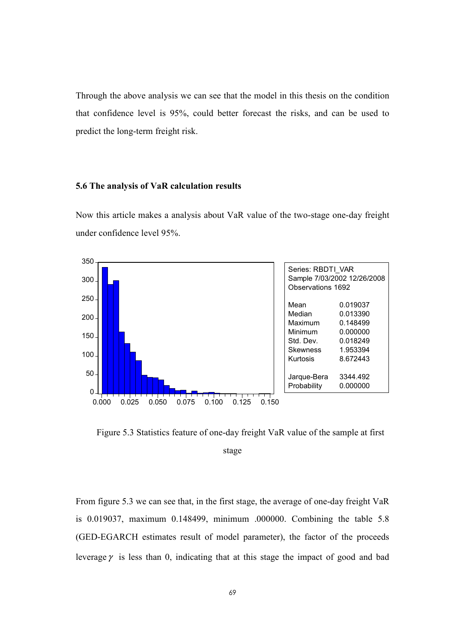Through the above analysis we can see that the model in this thesis on the condition that confidence level is 95%, could better forecast the risks, and can be used to predict the long-term freight risk.

#### 5.6 The analysis of VaR calculation results

Now this article makes a analysis about VaR value of the two-stage one-day freight under confidence level 95%.



Figure 5.3 Statistics feature of one-day freight VaR value of the sample at first

stage

From figure 5.3 we can see that, in the first stage, the average of one-day freight VaR is 0.019037, maximum 0.148499, minimum .000000. Combining the table 5.8 (GED-EGARCH estimates result of model parameter), the factor of the proceeds leverage  $\gamma$  is less than 0, indicating that at this stage the impact of good and bad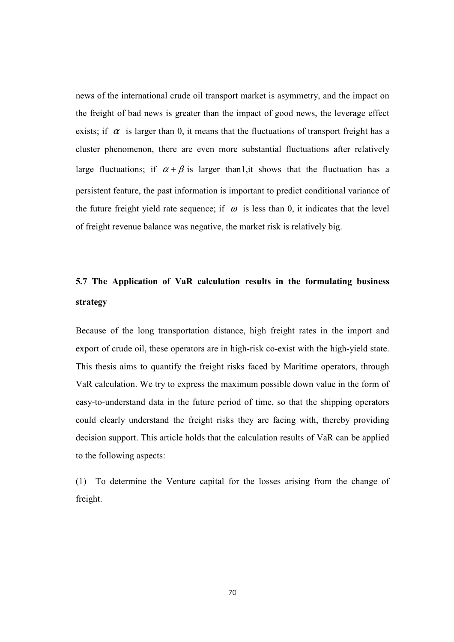news of the international crude oil transport market is asymmetry, and the impact on the freight of bad news is greater than the impact of good news, the leverage effect exists; if  $\alpha$  is larger than 0, it means that the fluctuations of transport freight has a cluster phenomenon, there are even more substantial fluctuations after relatively large fluctuations; if  $\alpha + \beta$  is larger than1, it shows that the fluctuation has a persistent feature, the past information is important to predict conditional variance of the future freight yield rate sequence; if  $\omega$  is less than 0, it indicates that the level of freight revenue balance was negative, the market risk is relatively big.

# 5.7 The Application of VaR calculation results in the formulating business strategy

Because of the long transportation distance, high freight rates in the import and export of crude oil, these operators are in high-risk co-exist with the high-yield state. This thesis aims to quantify the freight risks faced by Maritime operators, through VaR calculation. We try to express the maximum possible down value in the form of easy-to-understand data in the future period of time, so that the shipping operators could clearly understand the freight risks they are facing with, thereby providing decision support. This article holds that the calculation results of VaR can be applied to the following aspects:

(1) To determine the Venture capital for the losses arising from the change of freight.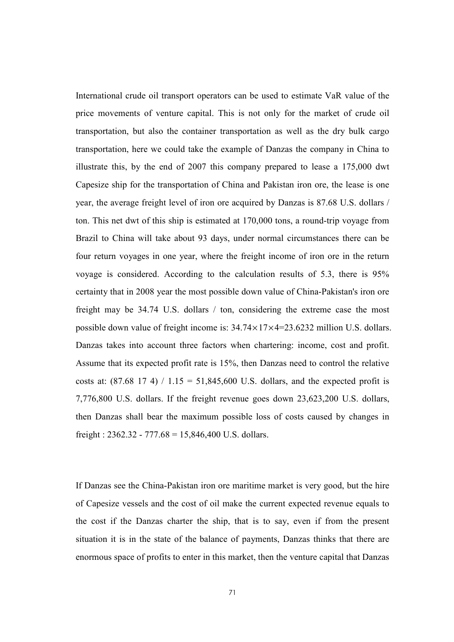International crude oil transport operators can be used to estimate VaR value of the price movements of venture capital. This is not only for the market of crude oil transportation, but also the container transportation as well as the dry bulk cargo transportation, here we could take the example of Danzas the company in China to illustrate this, by the end of 2007 this company prepared to lease a 175,000 dwt Capesize ship for the transportation of China and Pakistan iron ore, the lease is one year, the average freight level of iron ore acquired by Danzas is 87.68 U.S. dollars / ton. This net dwt of this ship is estimated at 170,000 tons, a round-trip voyage from Brazil to China will take about 93 days, under normal circumstances there can be four return voyages in one year, where the freight income of iron ore in the return voyage is considered. According to the calculation results of 5.3, there is 95% certainty that in 2008 year the most possible down value of China-Pakistan's iron ore freight may be 34.74 U.S. dollars / ton, considering the extreme case the most possible down value of freight income is: 34.74×17×4=23.6232 million U.S. dollars. Danzas takes into account three factors when chartering: income, cost and profit. Assume that its expected profit rate is 15%, then Danzas need to control the relative costs at:  $(87.68 \t17 \t4) / 1.15 = 51,845,600 \tU.S.$  dollars, and the expected profit is 7,776,800 U.S. dollars. If the freight revenue goes down 23,623,200 U.S. dollars, then Danzas shall bear the maximum possible loss of costs caused by changes in freight : 2362.32 - 777.68 = 15,846,400 U.S. dollars.

If Danzas see the China-Pakistan iron ore maritime market is very good, but the hire of Capesize vessels and the cost of oil make the current expected revenue equals to the cost if the Danzas charter the ship, that is to say, even if from the present situation it is in the state of the balance of payments, Danzas thinks that there are enormous space of profits to enter in this market, then the venture capital that Danzas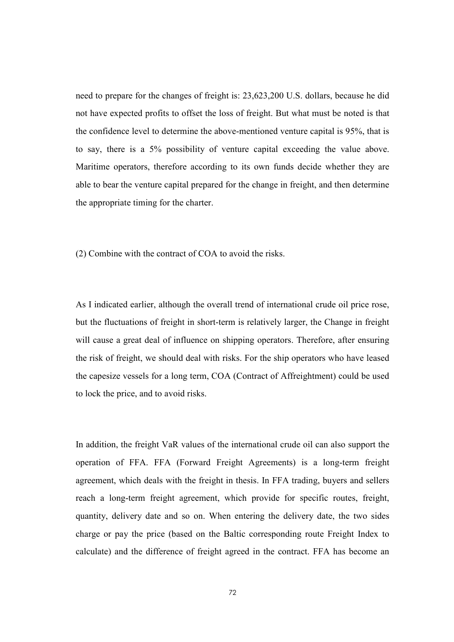need to prepare for the changes of freight is: 23,623,200 U.S. dollars, because he did not have expected profits to offset the loss of freight. But what must be noted is that the confidence level to determine the above-mentioned venture capital is 95%, that is to say, there is a 5% possibility of venture capital exceeding the value above. Maritime operators, therefore according to its own funds decide whether they are able to bear the venture capital prepared for the change in freight, and then determine the appropriate timing for the charter.

(2) Combine with the contract of COA to avoid the risks.

As I indicated earlier, although the overall trend of international crude oil price rose, but the fluctuations of freight in short-term is relatively larger, the Change in freight will cause a great deal of influence on shipping operators. Therefore, after ensuring the risk of freight, we should deal with risks. For the ship operators who have leased the capesize vessels for a long term, COA (Contract of Affreightment) could be used to lock the price, and to avoid risks.

In addition, the freight VaR values of the international crude oil can also support the operation of FFA. FFA (Forward Freight Agreements) is a long-term freight agreement, which deals with the freight in thesis. In FFA trading, buyers and sellers reach a long-term freight agreement, which provide for specific routes, freight, quantity, delivery date and so on. When entering the delivery date, the two sides charge or pay the price (based on the Baltic corresponding route Freight Index to calculate) and the difference of freight agreed in the contract. FFA has become an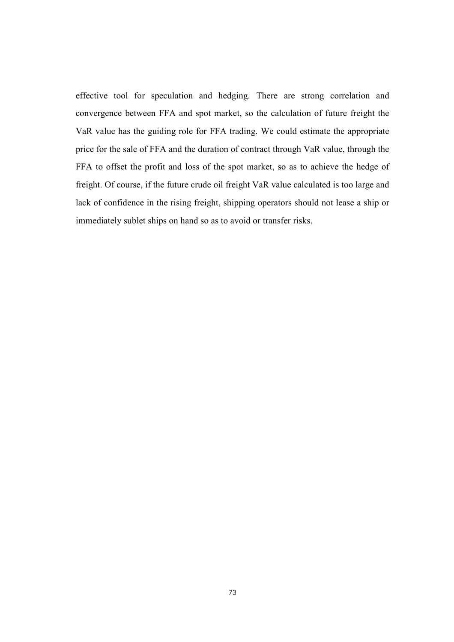effective tool for speculation and hedging. There are strong correlation and convergence between FFA and spot market, so the calculation of future freight the VaR value has the guiding role for FFA trading. We could estimate the appropriate price for the sale of FFA and the duration of contract through VaR value, through the FFA to offset the profit and loss of the spot market, so as to achieve the hedge of freight. Of course, if the future crude oil freight VaR value calculated is too large and lack of confidence in the rising freight, shipping operators should not lease a ship or immediately sublet ships on hand so as to avoid or transfer risks.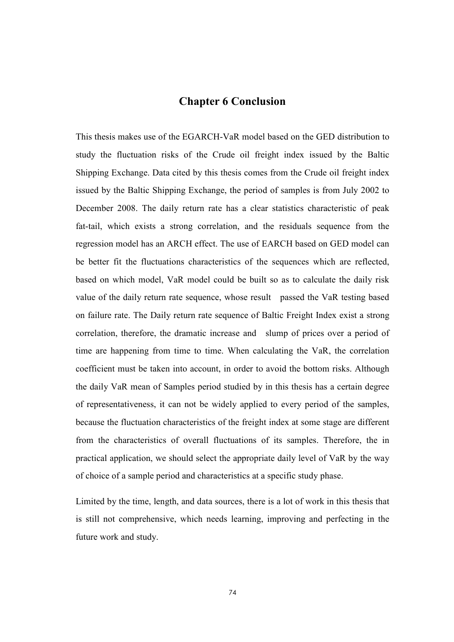## Chapter 6 Conclusion

This thesis makes use of the EGARCH-VaR model based on the GED distribution to study the fluctuation risks of the Crude oil freight index issued by the Baltic Shipping Exchange. Data cited by this thesis comes from the Crude oil freight index issued by the Baltic Shipping Exchange, the period of samples is from July 2002 to December 2008. The daily return rate has a clear statistics characteristic of peak fat-tail, which exists a strong correlation, and the residuals sequence from the regression model has an ARCH effect. The use of EARCH based on GED model can be better fit the fluctuations characteristics of the sequences which are reflected, based on which model, VaR model could be built so as to calculate the daily risk value of the daily return rate sequence, whose result passed the VaR testing based on failure rate. The Daily return rate sequence of Baltic Freight Index exist a strong correlation, therefore, the dramatic increase and slump of prices over a period of time are happening from time to time. When calculating the VaR, the correlation coefficient must be taken into account, in order to avoid the bottom risks. Although the daily VaR mean of Samples period studied by in this thesis has a certain degree of representativeness, it can not be widely applied to every period of the samples, because the fluctuation characteristics of the freight index at some stage are different from the characteristics of overall fluctuations of its samples. Therefore, the in practical application, we should select the appropriate daily level of VaR by the way of choice of a sample period and characteristics at a specific study phase.

Limited by the time, length, and data sources, there is a lot of work in this thesis that is still not comprehensive, which needs learning, improving and perfecting in the future work and study.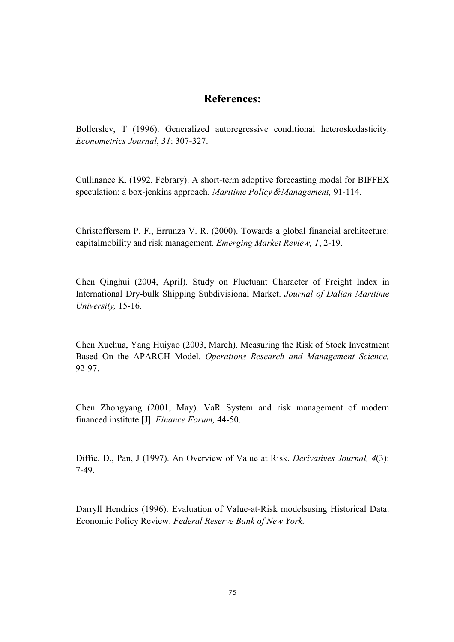## References:

Bollerslev, T (1996). Generalized autoregressive conditional heteroskedasticity. Econometrics Journal, 31: 307-327.

Cullinance K. (1992, Febrary). A short-term adoptive forecasting modal for BIFFEX speculation: a box-jenkins approach. Maritime Policy & Management, 91-114.

Christoffersem P. F., Errunza V. R. (2000). Towards a global financial architecture: capitalmobility and risk management. Emerging Market Review, 1, 2-19.

Chen Qinghui (2004, April). Study on Fluctuant Character of Freight Index in International Dry-bulk Shipping Subdivisional Market. Journal of Dalian Maritime University, 15-16.

Chen Xuehua, Yang Huiyao (2003, March). Measuring the Risk of Stock Investment Based On the APARCH Model. Operations Research and Management Science, 92-97.

Chen Zhongyang (2001, May). VaR System and risk management of modern financed institute [J]. Finance Forum, 44-50.

Diffie. D., Pan, J (1997). An Overview of Value at Risk. Derivatives Journal, 4(3): 7-49.

Darryll Hendrics (1996). Evaluation of Value-at-Risk modelsusing Historical Data. Economic Policy Review. Federal Reserve Bank of New York.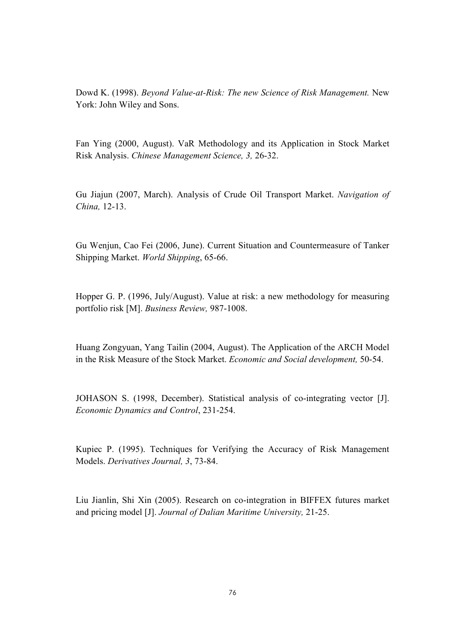Dowd K. (1998). Beyond Value-at-Risk: The new Science of Risk Management. New York: John Wiley and Sons.

Fan Ying (2000, August). VaR Methodology and its Application in Stock Market Risk Analysis. Chinese Management Science, 3, 26-32.

Gu Jiajun (2007, March). Analysis of Crude Oil Transport Market. Navigation of China, 12-13.

Gu Wenjun, Cao Fei (2006, June). Current Situation and Countermeasure of Tanker Shipping Market. World Shipping, 65-66.

Hopper G. P. (1996, July/August). Value at risk: a new methodology for measuring portfolio risk [M]. Business Review, 987-1008.

Huang Zongyuan, Yang Tailin (2004, August). The Application of the ARCH Model in the Risk Measure of the Stock Market. Economic and Social development, 50-54.

JOHASON S. (1998, December). Statistical analysis of co-integrating vector [J]. Economic Dynamics and Control, 231-254.

Kupiec P. (1995). Techniques for Verifying the Accuracy of Risk Management Models. Derivatives Journal, 3, 73-84.

Liu Jianlin, Shi Xin (2005). Research on co-integration in BIFFEX futures market and pricing model [J]. Journal of Dalian Maritime University, 21-25.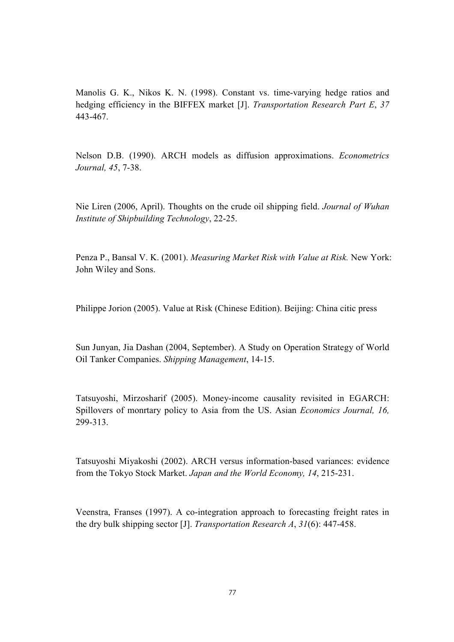Manolis G. K., Nikos K. N. (1998). Constant vs. time-varying hedge ratios and hedging efficiency in the BIFFEX market [J]. Transportation Research Part E, 37 443-467.

Nelson D.B. (1990). ARCH models as diffusion approximations. Econometrics Journal, 45, 7-38.

Nie Liren (2006, April). Thoughts on the crude oil shipping field. Journal of Wuhan Institute of Shipbuilding Technology, 22-25.

Penza P., Bansal V. K. (2001). Measuring Market Risk with Value at Risk. New York: John Wiley and Sons.

Philippe Jorion (2005). Value at Risk (Chinese Edition). Beijing: China citic press

Sun Junyan, Jia Dashan (2004, September). A Study on Operation Strategy of World Oil Tanker Companies. Shipping Management, 14-15.

Tatsuyoshi, Mirzosharif (2005). Money-income causality revisited in EGARCH: Spillovers of monrtary policy to Asia from the US. Asian Economics Journal, 16, 299-313.

Tatsuyoshi Miyakoshi (2002). ARCH versus information-based variances: evidence from the Tokyo Stock Market. Japan and the World Economy, 14, 215-231.

Veenstra, Franses (1997). A co-integration approach to forecasting freight rates in the dry bulk shipping sector [J]. Transportation Research A, 31(6): 447-458.